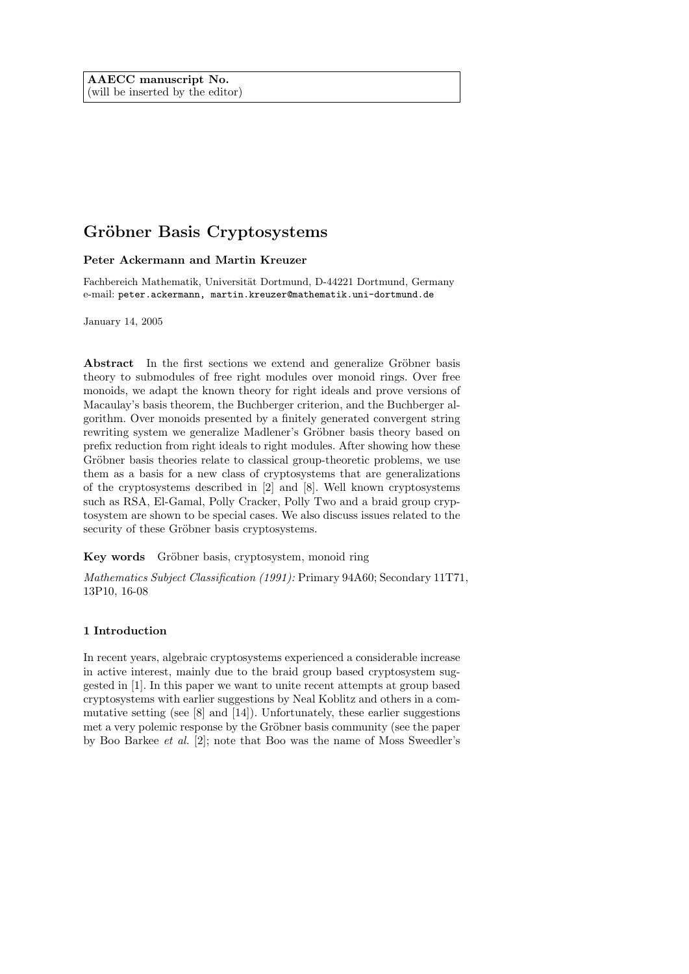# Gröbner Basis Cryptosystems

# Peter Ackermann and Martin Kreuzer

Fachbereich Mathematik, Universität Dortmund, D-44221 Dortmund, Germany e-mail: peter.ackermann, martin.kreuzer@mathematik.uni-dortmund.de

January 14, 2005

Abstract In the first sections we extend and generalize Gröbner basis theory to submodules of free right modules over monoid rings. Over free monoids, we adapt the known theory for right ideals and prove versions of Macaulay's basis theorem, the Buchberger criterion, and the Buchberger algorithm. Over monoids presented by a finitely generated convergent string rewriting system we generalize Madlener's Gröbner basis theory based on prefix reduction from right ideals to right modules. After showing how these Gröbner basis theories relate to classical group-theoretic problems, we use them as a basis for a new class of cryptosystems that are generalizations of the cryptosystems described in [2] and [8]. Well known cryptosystems such as RSA, El-Gamal, Polly Cracker, Polly Two and a braid group cryptosystem are shown to be special cases. We also discuss issues related to the security of these Gröbner basis cryptosystems.

Key words Gröbner basis, cryptosystem, monoid ring

Mathematics Subject Classification (1991): Primary 94A60; Secondary 11T71, 13P10, 16-08

# 1 Introduction

In recent years, algebraic cryptosystems experienced a considerable increase in active interest, mainly due to the braid group based cryptosystem suggested in [1]. In this paper we want to unite recent attempts at group based cryptosystems with earlier suggestions by Neal Koblitz and others in a commutative setting (see [8] and [14]). Unfortunately, these earlier suggestions met a very polemic response by the Gröbner basis community (see the paper by Boo Barkee et al. [2]; note that Boo was the name of Moss Sweedler's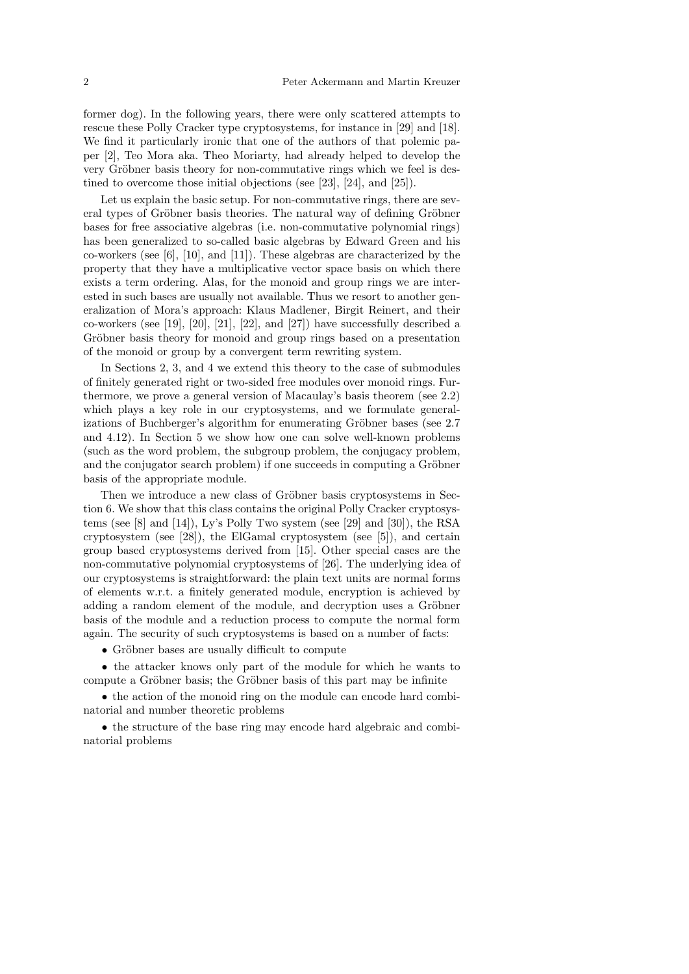former dog). In the following years, there were only scattered attempts to rescue these Polly Cracker type cryptosystems, for instance in [29] and [18]. We find it particularly ironic that one of the authors of that polemic paper [2], Teo Mora aka. Theo Moriarty, had already helped to develop the very Gröbner basis theory for non-commutative rings which we feel is destined to overcome those initial objections (see [23], [24], and [25]).

Let us explain the basic setup. For non-commutative rings, there are several types of Gröbner basis theories. The natural way of defining Gröbner bases for free associative algebras (i.e. non-commutative polynomial rings) has been generalized to so-called basic algebras by Edward Green and his co-workers (see [6], [10], and [11]). These algebras are characterized by the property that they have a multiplicative vector space basis on which there exists a term ordering. Alas, for the monoid and group rings we are interested in such bases are usually not available. Thus we resort to another generalization of Mora's approach: Klaus Madlener, Birgit Reinert, and their co-workers (see [19], [20], [21], [22], and [27]) have successfully described a Gröbner basis theory for monoid and group rings based on a presentation of the monoid or group by a convergent term rewriting system.

In Sections 2, 3, and 4 we extend this theory to the case of submodules of finitely generated right or two-sided free modules over monoid rings. Furthermore, we prove a general version of Macaulay's basis theorem (see 2.2) which plays a key role in our cryptosystems, and we formulate generalizations of Buchberger's algorithm for enumerating Gröbner bases (see 2.7) and 4.12). In Section 5 we show how one can solve well-known problems (such as the word problem, the subgroup problem, the conjugacy problem, and the conjugator search problem) if one succeeds in computing a Gröbner basis of the appropriate module.

Then we introduce a new class of Gröbner basis cryptosystems in Section 6. We show that this class contains the original Polly Cracker cryptosystems (see [8] and [14]), Ly's Polly Two system (see [29] and [30]), the RSA cryptosystem (see [28]), the ElGamal cryptosystem (see [5]), and certain group based cryptosystems derived from [15]. Other special cases are the non-commutative polynomial cryptosystems of [26]. The underlying idea of our cryptosystems is straightforward: the plain text units are normal forms of elements w.r.t. a finitely generated module, encryption is achieved by adding a random element of the module, and decryption uses a Gröbner basis of the module and a reduction process to compute the normal form again. The security of such cryptosystems is based on a number of facts:

• Gröbner bases are usually difficult to compute

• the attacker knows only part of the module for which he wants to compute a Gröbner basis; the Gröbner basis of this part may be infinite

• the action of the monoid ring on the module can encode hard combinatorial and number theoretic problems

• the structure of the base ring may encode hard algebraic and combinatorial problems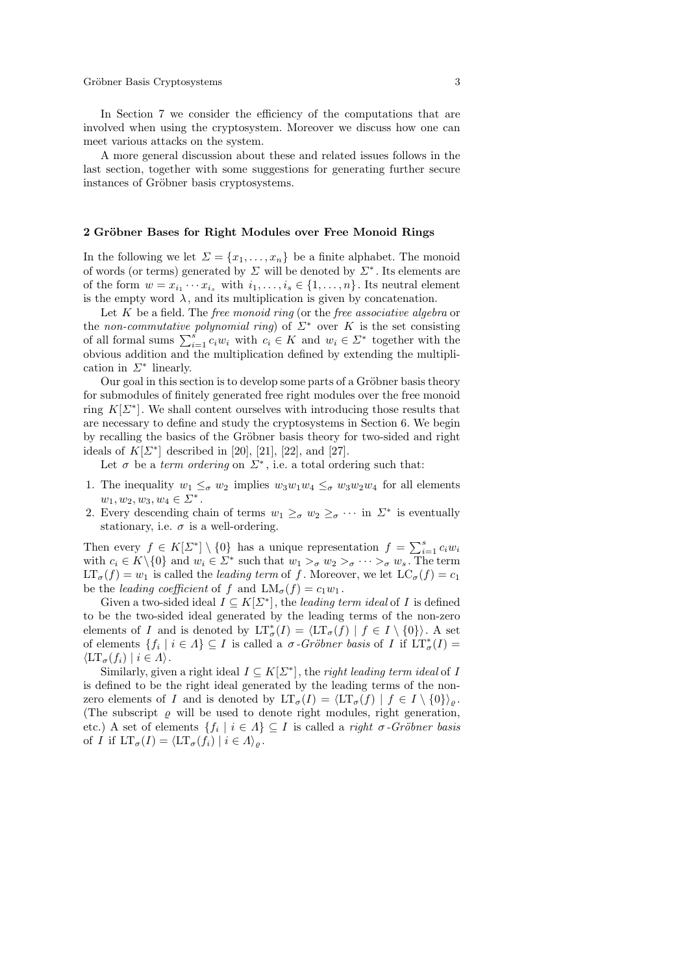In Section 7 we consider the efficiency of the computations that are involved when using the cryptosystem. Moreover we discuss how one can meet various attacks on the system.

A more general discussion about these and related issues follows in the last section, together with some suggestions for generating further secure instances of Gröbner basis cryptosystems.

## 2 Gröbner Bases for Right Modules over Free Monoid Rings

In the following we let  $\Sigma = \{x_1, \ldots, x_n\}$  be a finite alphabet. The monoid of words (or terms) generated by  $\Sigma$  will be denoted by  $\Sigma^*$ . Its elements are of the form  $w = x_{i_1} \cdots x_{i_s}$  with  $i_1, \ldots, i_s \in \{1, \ldots, n\}$ . Its neutral element is the empty word  $\lambda$ , and its multiplication is given by concatenation.

Let  $K$  be a field. The *free monoid ring* (or the *free associative algebra* or the non-commutative polynomial ring) of  $\Sigma^*$  over K is the set consisting of all formal sums  $\sum_{i=1}^{s} c_i w_i$  with  $c_i \in K$  and  $w_i \in \Sigma^*$  together with the obvious addition and the multiplication defined by extending the multiplication in  $\Sigma^*$  linearly.

Our goal in this section is to develop some parts of a Gröbner basis theory for submodules of finitely generated free right modules over the free monoid ring  $K[\Sigma^*]$ . We shall content ourselves with introducing those results that are necessary to define and study the cryptosystems in Section 6. We begin by recalling the basics of the Gröbner basis theory for two-sided and right ideals of  $K[\Sigma^*]$  described in [20], [21], [22], and [27].

Let  $\sigma$  be a *term ordering* on  $\Sigma^*$ , i.e. a total ordering such that:

- 1. The inequality  $w_1 \leq_{\sigma} w_2$  implies  $w_3w_1w_4 \leq_{\sigma} w_3w_2w_4$  for all elements  $w_1, w_2, w_3, w_4 \in \Sigma^*$ .
- 2. Every descending chain of terms  $w_1 \geq_{\sigma} w_2 \geq_{\sigma} \cdots$  in  $\Sigma^*$  is eventually stationary, i.e.  $\sigma$  is a well-ordering.

Then every  $f \in K[\Sigma^*] \setminus \{0\}$  has a unique representation  $f = \sum_{i=1}^s c_i w_i$ with  $c_i \in K \setminus \{0\}$  and  $w_i \in \Sigma^*$  such that  $w_1 >_{\sigma} w_2 >_{\sigma} \cdots >_{\sigma} w_s$ . The term  $LT_{\sigma}(f) = w_1$  is called the *leading term* of f. Moreover, we let  $LC_{\sigma}(f) = c_1$ be the *leading coefficient* of f and  $LM_{\sigma}(f) = c_1w_1$ .

Given a two-sided ideal  $I \subseteq K[\Sigma^*]$ , the leading term ideal of I is defined to be the two-sided ideal generated by the leading terms of the non-zero elements of I and is denoted by  $LT^*_{\sigma}(I) = \langle LT_{\sigma}(f) | f \in I \setminus \{0\} \rangle$ . A set of elements  $\{f_i \mid i \in \Lambda\} \subseteq I$  is called a  $\sigma$ -Gröbner basis of I if  $LT^*_{\sigma}(I)$  =  $\langle \mathrm{LT}_{\sigma}(f_i) | i \in \Lambda \rangle.$ 

Similarly, given a right ideal  $I \subseteq K[\Sigma^*]$ , the *right leading term ideal* of *I* is defined to be the right ideal generated by the leading terms of the nonzero elements of I and is denoted by  $LT_{\sigma}(I) = \langle LT_{\sigma}(f) | f \in I \setminus \{0\} \rangle_{\rho}$ . (The subscript  $\rho$  will be used to denote right modules, right generation, etc.) A set of elements  $\{f_i \mid i \in A\} \subseteq I$  is called a *right*  $\sigma$ *-Gröbner basis* of I if  $LT_{\sigma}(I) = \langle LT_{\sigma}(f_i) | i \in A \rangle_{\sigma}$ .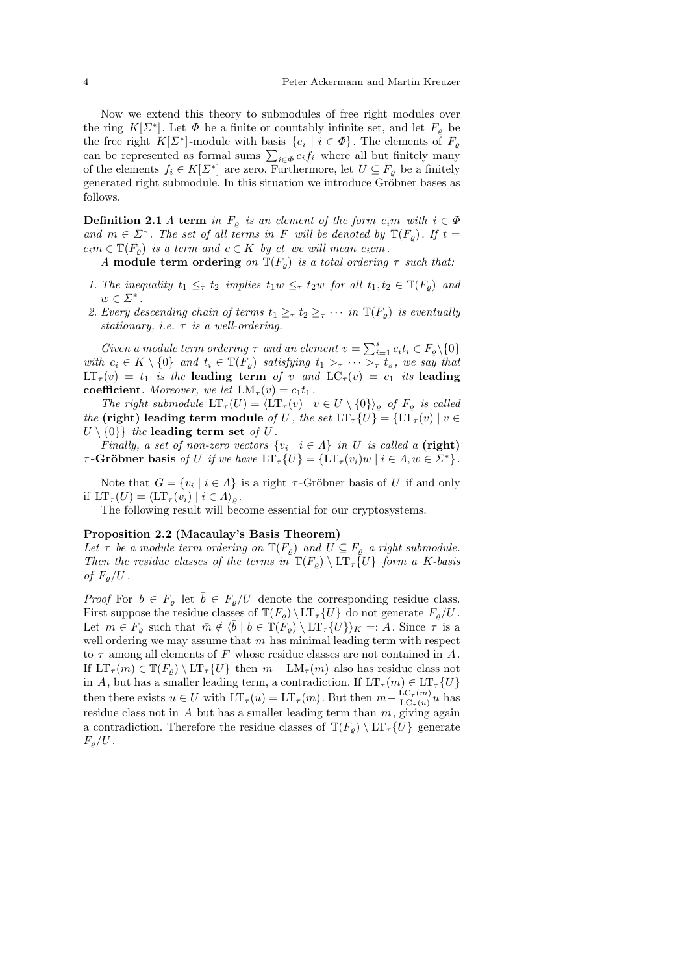Now we extend this theory to submodules of free right modules over the ring  $K[\Sigma^*]$ . Let  $\Phi$  be a finite or countably infinite set, and let  $F_{\varrho}$  be the free right  $K[\Sigma^*]$ -module with basis  $\{e_i \mid i \in \Phi\}$ . The elements of  $F_{\varrho}$ can be represented as formal sums  $\sum_{i \in \Phi} e_i f_i$  where all but finitely many of the elements  $f_i \in K[\Sigma^*]$  are zero. Furthermore, let  $U \subseteq F_{\varrho}$  be a finitely generated right submodule. In this situation we introduce Gröbner bases as follows.

**Definition 2.1** A term in  $F_{\varrho}$  is an element of the form  $e_i m$  with  $i \in \Phi$ and  $m \in \Sigma^*$ . The set of all terms in F will be denoted by  $\mathbb{T}(F_{\varrho})$ . If  $t =$  $e_i m \in \mathbb{T}(F_o)$  is a term and  $c \in K$  by ct we will mean  $e_i cm$ .

A module term ordering on  $\mathbb{T}(F_{\rho})$  is a total ordering  $\tau$  such that:

- 1. The inequality  $t_1 \leq_\tau t_2$  implies  $t_1w \leq_\tau t_2w$  for all  $t_1, t_2 \in \mathbb{T}(F_\rho)$  and  $w \in \Sigma^*$ .
- 2. Every descending chain of terms  $t_1 \geq_{\tau} t_2 \geq_{\tau} \cdots$  in  $\mathbb{T}(F_{\rho})$  is eventually stationary, i.e.  $\tau$  is a well-ordering.

Given a module term ordering  $\tau$  and an element  $v = \sum_{i=1}^{s} c_i t_i \in F_{\varrho} \setminus \{0\}$ with  $c_i \in K \setminus \{0\}$  and  $t_i \in \mathbb{T}(F_o)$  satisfying  $t_1 >_\tau \cdots >_\tau t_s$ , we say that  $LT_{\tau}(v) = t_1$  is the leading term of v and  $LC_{\tau}(v) = c_1$  its leading coefficient. Moreover, we let  $LM_{\tau}(v) = c_1t_1$ .

The right submodule  $LT_{\tau}(U) = \langle LT_{\tau}(v) | v \in U \setminus \{0\} \rangle_{\varrho}$  of  $F_{\varrho}$  is called the (right) leading term module of U, the set  $LT_{\tau} \{U\} = \{LT_{\tau}(v) | v \in$  $U \setminus \{0\}$  the leading term set of U.

Finally, a set of non-zero vectors  $\{v_i \mid i \in \Lambda\}$  in U is called a (right)  $τ$ -Gröbner basis of U if we have  $LT_{τ}$ {U} = { $LT_{τ}(v_i)$ w |  $i ∈ Λ, w ∈ Σ^*$ }.

Note that  $G = \{v_i \mid i \in \Lambda\}$  is a right  $\tau$ -Gröbner basis of U if and only if  $LT_{\tau}(U) = \langle LT_{\tau}(v_i) | i \in A \rangle_{\varrho}$ .

The following result will become essential for our cryptosystems.

#### Proposition 2.2 (Macaulay's Basis Theorem)

Let  $\tau$  be a module term ordering on  $\mathbb{T}(F_{\varrho})$  and  $U \subseteq F_{\varrho}$  a right submodule. Then the residue classes of the terms in  $\mathbb{T}(F_{\rho}) \setminus \mathrm{LT}_{\tau}\{U\}$  form a K-basis of  $F_{\rho}/U$ .

*Proof* For  $b \in F_{\rho}$  let  $\overline{b} \in F_{\rho}/U$  denote the corresponding residue class. First suppose the residue classes of  $\mathbb{T}(F_{\rho}) \backslash \mathrm{LT}_{\tau} \{U\}$  do not generate  $F_{\rho}/U$ . Let  $m \in F_\rho$  such that  $\bar{m} \notin \langle \bar{b} \mid b \in \mathbb{T}(F_\rho) \setminus \mathrm{LT}_\tau \{U\} \rangle_K =: A$ . Since  $\tau$  is a well ordering we may assume that  $m$  has minimal leading term with respect to  $\tau$  among all elements of F whose residue classes are not contained in A. If  $LT_{\tau}(m) \in \mathbb{T}(F_0) \setminus LT_{\tau}\{U\}$  then  $m - LM_{\tau}(m)$  also has residue class not in A, but has a smaller leading term, a contradiction. If  $LT_{\tau}(m) \in LT_{\tau}\lbrace U \rbrace$ then there exists  $u \in U$  with  $LT_{\tau}(u) = LT_{\tau}(m)$ . But then  $m - \frac{LC_{\tau}(m)}{LC_{\tau}(u)}$  $\frac{\text{LC}_{\tau}(m)}{\text{LC}_{\tau}(u)}u$  has residue class not in A but has a smaller leading term than  $m$ , giving again a contradiction. Therefore the residue classes of  $\mathbb{T}(F_{\rho}) \setminus \mathrm{LT}_{\tau} \{U\}$  generate  $F_o/U$ .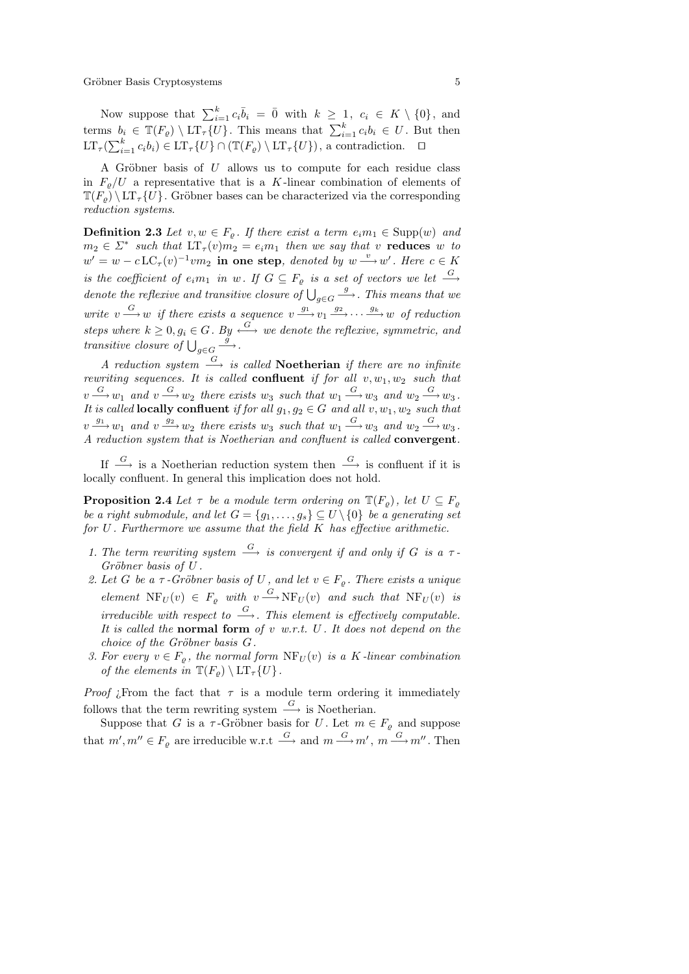Now suppose that  $\sum_{i=1}^{k} c_i \overline{b}_i = \overline{0}$  with  $k \geq 1$ ,  $c_i \in K \setminus \{0\}$ , and terms  $b_i \in \mathbb{T}(F_{\varrho}) \setminus \mathrm{LT}_{\tau}\{U\}$ . This means that  $\sum_{i=1}^{k} c_i b_i \in U$ . But then  $LT_{\tau}(\sum_{i=1}^{k} c_{i}b_{i}) \in LT_{\tau}\{U\} \cap (\mathbb{T}(F_{\varrho}) \setminus LT_{\tau}\{U\})$ , a contradiction.  $\Box$ 

A Gröbner basis of  $U$  allows us to compute for each residue class in  $F_{\varrho}/U$  a representative that is a K-linear combination of elements of  $\mathbb{T}(F_{\rho}) \setminus \mathrm{LT}_{\tau} \{U\}$ . Gröbner bases can be characterized via the corresponding reduction systems.

**Definition 2.3** Let  $v, w \in F_o$ . If there exist a term  $e_i m_1 \in \text{Supp}(w)$  and  $m_2 \in \Sigma^*$  such that  $LT_\tau(v)$  $m_2 = e_i m_1$  then we say that v reduces w to  $w' = w - c \operatorname{LC}_{\tau}(v)^{-1} v m_2$  in one step, denoted by  $w \stackrel{v}{\longrightarrow} w'$ . Here  $c \in K$ is the coefficient of  $e_i m_1$  in w. If  $G \subseteq F_\varrho$  is a set of vectors we let  $\stackrel{G}{\longrightarrow}$ denote the reflexive and transitive closure of  $\bigcup_{g\in G}$  $\stackrel{g}{\longrightarrow}$ . This means that we write  $v \xrightarrow{G} w$  if there exists a sequence  $v \xrightarrow{g_1} v_1 \xrightarrow{g_2} \cdots \xrightarrow{g_k} w$  of reduction steps where  $k > 0, q_i \in G$ . By  $\stackrel{G}{\longleftrightarrow}$  we denote the reflexive, symmetric, and transitive closure of  $\bigcup_{g \in G}$  $\stackrel{\check{g}}{\longrightarrow}$ .

A reduction system  $\stackrel{G}{\longrightarrow}$  is called **Noetherian** if there are no infinite rewriting sequences. It is called **confluent** if for all  $v, w_1, w_2$  such that  $v \xrightarrow{G} w_1$  and  $v \xrightarrow{G} w_2$  there exists  $w_3$  such that  $w_1 \xrightarrow{G} w_3$  and  $w_2 \xrightarrow{G} w_3$ . It is called **locally confluent** if for all  $g_1, g_2 \in G$  and all  $v, w_1, w_2$  such that  $v \xrightarrow{g_1} w_1$  and  $v \xrightarrow{g_2} w_2$  there exists  $w_3$  such that  $w_1 \xrightarrow{G} w_3$  and  $w_2 \xrightarrow{G} w_3$ . A reduction system that is Noetherian and confluent is called convergent.

If  $\stackrel{G}{\longrightarrow}$  is a Noetherian reduction system then  $\stackrel{G}{\longrightarrow}$  is confluent if it is locally confluent. In general this implication does not hold.

**Proposition 2.4** Let  $\tau$  be a module term ordering on  $\mathbb{T}(F_{\varrho})$ , let  $U \subseteq F_{\varrho}$ be a right submodule, and let  $G = \{g_1, \ldots, g_s\} \subseteq U \setminus \{0\}$  be a generating set for  $U$ . Furthermore we assume that the field  $K$  has effective arithmetic.

- 1. The term rewriting system  $\stackrel{G}{\longrightarrow}$  is convergent if and only if G is a  $\tau$ - $Gr\ddot{o}bner$  basis of  $U$ .
- 2. Let G be a  $\tau$ -Gröbner basis of U, and let  $v \in F_{\varrho}$ . There exists a unique element  $NF_U(v) \in F_{\varrho}$  with  $v \xrightarrow{G} NF_U(v)$  and such that  $NF_U(v)$  is irreducible with respect to  $\stackrel{G}{\longrightarrow}$ . This element is effectively computable. It is called the normal form of  $v$  w.r.t.  $U$ . It does not depend on the choice of the Gröbner basis  $G$ .
- 3. For every  $v \in F_{\rho}$ , the normal form  $\text{NF}_U(v)$  is a K-linear combination of the elements in  $\mathbb{T}(F_{\rho}) \setminus \mathrm{LT}_{\tau}\{U\}$ .

*Proof i*. From the fact that  $\tau$  is a module term ordering it immediately follows that the term rewriting system  $\stackrel{G}{\longrightarrow}$  is Noetherian.

Suppose that G is a  $\tau$ -Gröbner basis for U. Let  $m \in F_{\rho}$  and suppose that  $m', m'' \in F_{\varrho}$  are irreducible w.r.t  $\xrightarrow{G}$  and  $m \xrightarrow{G} m'$ ,  $m \xrightarrow{G} m''$ . Then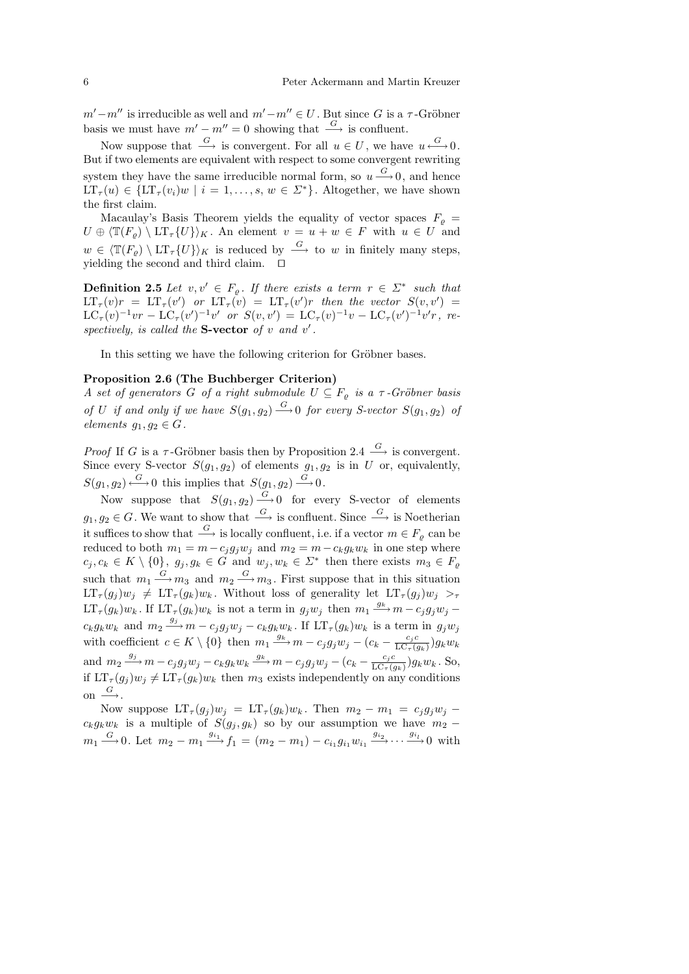$m'-m''$  is irreducible as well and  $m'-m'' \in U$ . But since G is a  $\tau$ -Gröbner basis we must have  $m'-m''=0$  showing that  $\stackrel{G}{\longrightarrow}$  is confluent.

Now suppose that  $\stackrel{G}{\longrightarrow}$  is convergent. For all  $u \in U$ , we have  $u \stackrel{G}{\longleftrightarrow} 0$ . But if two elements are equivalent with respect to some convergent rewriting system they have the same irreducible normal form, so  $u \stackrel{G}{\longrightarrow} 0$ , and hence  $LT_{\tau}(u) \in \{LT_{\tau}(v_i)w \mid i = 1,\ldots,s, w \in \Sigma^*\}.$  Altogether, we have shown the first claim.

Macaulay's Basis Theorem yields the equality of vector spaces  $F_{\varrho}$  =  $U \oplus \langle \mathbb{T}(F_{\rho}) \setminus \mathrm{LT}_{\tau} \{U\} \rangle_K$ . An element  $v = u + w \in F$  with  $u \in U$  and  $w \in \langle \mathbb{T}(F_{\rho}) \setminus \mathrm{LT}_{\tau} \{U\} \rangle_K$  is reduced by  $\stackrel{G}{\longrightarrow}$  to w in finitely many steps, yielding the second and third claim.  $\quad \Box$ 

**Definition 2.5** Let  $v, v' \in F_{\varrho}$ . If there exists a term  $r \in \Sigma^*$  such that  $LT_{\tau}(v)r = LT_{\tau}(v')$  or  $LT_{\tau}(v) = LT_{\tau}(v')r$  then the vector  $S(v, v') =$  $LC_{\tau}(v)^{-1}vr - LC_{\tau}(v')^{-1}v'$  or  $S(v, v') = LC_{\tau}(v)^{-1}v - LC_{\tau}(v')^{-1}v'r$ , respectively, is called the S-vector of  $v$  and  $v'$ .

In this setting we have the following criterion for Gröbner bases.

## Proposition 2.6 (The Buchberger Criterion)

A set of generators G of a right submodule  $U \subseteq F_{\varrho}$  is a  $\tau$ -Gröbner basis of U if and only if we have  $S(g_1, g_2) \stackrel{G}{\longrightarrow} 0$  for every S-vector  $S(g_1, g_2)$  of elements  $q_1, q_2 \in G$ .

*Proof* If G is a  $\tau$ -Gröbner basis then by Proposition 2.4  $\stackrel{G}{\longrightarrow}$  is convergent. Since every S-vector  $S(g_1, g_2)$  of elements  $g_1, g_2$  is in U or, equivalently,  $S(g_1, g_2) \stackrel{G}{\longleftrightarrow} 0$  this implies that  $S(g_1, g_2) \stackrel{G}{\longrightarrow} 0$ .

Now suppose that  $S(g_1, g_2) \stackrel{G}{\longrightarrow} 0$  for every S-vector of elements  $g_1, g_2 \in G$ . We want to show that  $\stackrel{G}{\longrightarrow}$  is confluent. Since  $\stackrel{G}{\longrightarrow}$  is Noetherian it suffices to show that  $\stackrel{G}{\longrightarrow}$  is locally confluent, i.e. if a vector  $m \in F_o$  can be reduced to both  $m_1 = m - c_j g_j w_j$  and  $m_2 = m - c_k g_k w_k$  in one step where  $c_j, c_k \in K \setminus \{0\}, g_j, g_k \in \tilde{G}$  and  $w_j, w_k \in \Sigma^*$  then there exists  $m_3 \in F_{\varrho}$ such that  $m_1 \stackrel{G}{\longrightarrow} m_3$  and  $m_2 \stackrel{G}{\longrightarrow} m_3$ . First suppose that in this situation  $LT_{\tau}(g_i)w_i \neq LT_{\tau}(g_k)w_k$ . Without loss of generality let  $LT_{\tau}(g_i)w_i >_{\tau}$  $LT_{\tau}(g_k)w_k$ . If  $LT_{\tau}(g_k)w_k$  is not a term in  $g_jw_j$  then  $m_1 \stackrel{g_k}{\longrightarrow} m - c_jg_jw_j$  $c_k g_k w_k$  and  $m_2 \stackrel{g_j}{\longrightarrow} m - c_j g_j w_j - c_k g_k w_k$ . If  $LT_{\tau}(g_k) w_k$  is a term in  $g_j w_j$ with coefficient  $c \in K \setminus \{0\}$  then  $m_1 \stackrel{g_k}{\longrightarrow} m - c_j g_j w_j - (c_k - \frac{c_j c_j}{10} c_j)$  $\frac{c_j c}{\text{LC}_{\tau}(g_k)}$ ) $g_k w_k$ and  $m_2 \xrightarrow{g_j} m - c_j g_j w_j - c_k g_k w_k \xrightarrow{g_k} m - c_j g_j w_j - (c_k - \frac{c_j c_j}{10})$  $\frac{c_j c}{\text{LC}_{\tau}(g_k)}$ )g<sub>k</sub>w<sub>k</sub>. So, if  $LT_{\tau}(g_i)w_i \neq LT_{\tau}(g_k)w_k$  then  $m_3$  exists independently on any conditions on  $\stackrel{G}{\longrightarrow}$ .

Now suppose  $LT_{\tau}(g_i)w_i = LT_{\tau}(g_k)w_k$ . Then  $m_2 - m_1 = c_i g_i w_i$  $c_k g_k w_k$  is a multiple of  $S(g_j, g_k)$  so by our assumption we have  $m_2$  −  $m_1 \stackrel{G}{\longrightarrow} 0$ . Let  $m_2 - m_1 \stackrel{g_{i_1}}{\longrightarrow} f_1 = (m_2 - m_1) - c_{i_1} g_{i_1} w_{i_1} \stackrel{g_{i_2}}{\longrightarrow} \cdots \stackrel{g_{i_l}}{\longrightarrow} 0$  with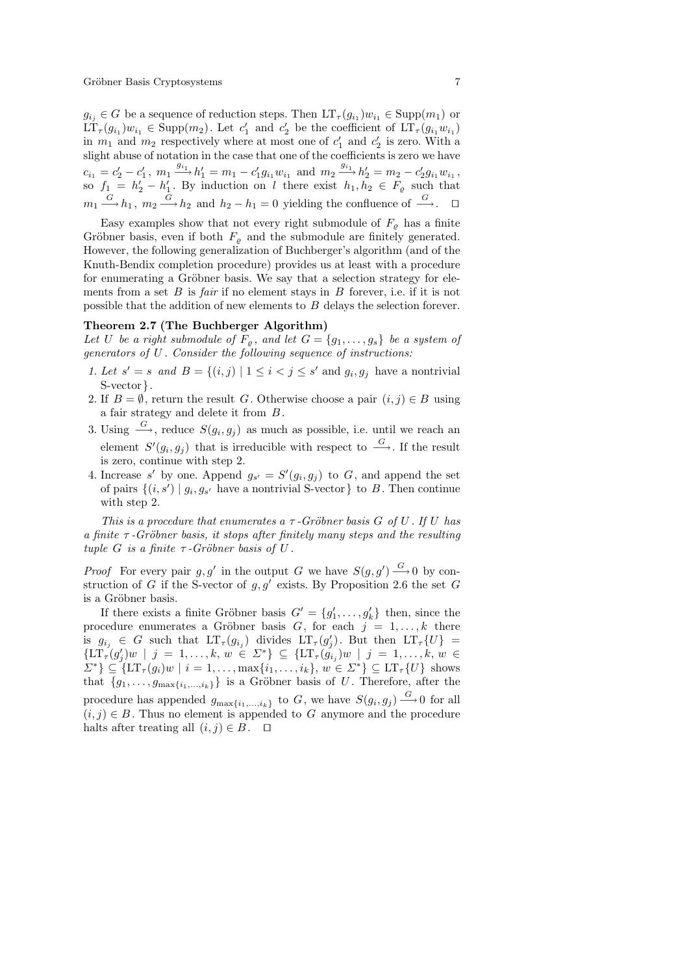$g_{i_j} \in G$  be a sequence of reduction steps. Then  $LT_{\tau}(g_{i_1})w_{i_1} \in \text{Supp}(m_1)$  or  $\tilde{\mathrm{LT}}_{\tau}(g_{i_1})w_{i_1} \in \mathrm{Supp}(m_2)$ . Let  $c'_1$  and  $c'_2$  be the coefficient of  $\mathrm{LT}_{\tau}(g_{i_1}w_{i_1})$ in  $m_1$  and  $m_2$  respectively where at most one of  $c'_1$  and  $c'_2$  is zero. With a slight abuse of notation in the case that one of the coefficients is zero we have  $c_{i_1} = c'_2 - c'_1$ ,  $m_1 \xrightarrow{g_{i_1}} h'_1 = m_1 - c'_1 g_{i_1} w_{i_1}$  and  $m_2 \xrightarrow{g_{i_1}} h'_2 = m_2 - c'_2 g_{i_1} w_{i_1}$ , so  $f_1 = h'_2 - h'_1$ . By induction on l there exist  $h_1, h_2 \in F_\varrho$  such that  $m_1 \stackrel{G}{\longrightarrow} h_1$ ,  $m_2 \stackrel{G}{\longrightarrow} h_2$  and  $h_2 - h_1 = 0$  yielding the confluence of  $\stackrel{G}{\longrightarrow}$ .  $\Box$ 

Easy examples show that not every right submodule of  $F<sub>o</sub>$  has a finite Gröbner basis, even if both  $F_{\rho}$  and the submodule are finitely generated. However, the following generalization of Buchberger's algorithm (and of the Knuth-Bendix completion procedure) provides us at least with a procedure for enumerating a Gröbner basis. We say that a selection strategy for elements from a set  $B$  is *fair* if no element stays in  $B$  forever, i.e. if it is not possible that the addition of new elements to B delays the selection forever.

# Theorem 2.7 (The Buchberger Algorithm)

Let U be a right submodule of  $F_{\varrho}$ , and let  $G = \{g_1, \ldots, g_s\}$  be a system of generators of U . Consider the following sequence of instructions:

- 1. Let  $s' = s$  and  $B = \{(i, j) | 1 \le i < j \le s'$  and  $g_i, g_j$  have a nontrivial S-vector  $\}.$
- 2. If  $B = \emptyset$ , return the result G. Otherwise choose a pair  $(i, j) \in B$  using a fair strategy and delete it from B.
- 3. Using  $\stackrel{G}{\longrightarrow}$ , reduce  $S(g_i, g_j)$  as much as possible, i.e. until we reach an element  $S'(g_i, g_j)$  that is irreducible with respect to  $\stackrel{G}{\longrightarrow}$ . If the result is zero, continue with step 2.
- 4. Increase s' by one. Append  $g_{s'} = S'(g_i, g_j)$  to G, and append the set of pairs  $\{(i, s') \mid g_i, g_{s'}\}$  have a nontrivial S-vector  $\}$  to B. Then continue with step 2.

This is a procedure that enumerates a  $\tau$ -Gröbner basis G of U. If U has a finite  $\tau$ -Gröbner basis, it stops after finitely many steps and the resulting tuple G is a finite  $\tau$ -Gröbner basis of U.

*Proof* For every pair g, g' in the output G we have  $S(g, g') \stackrel{G}{\longrightarrow} 0$  by construction of G if the S-vector of  $g, g'$  exists. By Proposition 2.6 the set G is a Gröbner basis.

If there exists a finite Gröbner basis  $G' = \{g'_1, \ldots, g'_k\}$  then, since the procedure enumerates a Gröbner basis G, for each  $j = 1, \ldots, k$  there is  $g_{i_j} \in G$  such that  $LT_\tau(g_{i_j})$  divides  $LT_\tau(g'_j)$ . But then  $LT_\tau\{U\}$  =  $\{LT_{\tau}(g'_j)w \mid j = 1,\ldots,k, w \in \Sigma^*\} \subseteq \{LT_{\tau}(g'_{i_j})w \mid j = 1,\ldots,k, w \in \Sigma^*\}$  $\{\Sigma^*\}\subseteq \{LT_\tau(g_i)w \mid i=1,\ldots,\max\{i_1,\ldots,i_k\}, w \in \Sigma^*\} \subseteq LT_\tau\{U\}$  shows that  $\{g_1, \ldots, g_{\max\{i_1,\ldots,i_k\}}\}\$ is a Gröbner basis of U. Therefore, after the procedure has appended  $g_{\max\{i_1,\dots,i_k\}}$  to G, we have  $S(g_i, g_j) \stackrel{G}{\longrightarrow} 0$  for all  $(i, j) \in B$ . Thus no element is appended to G anymore and the procedure halts after treating all  $(i, j) \in B$ .  $\Box$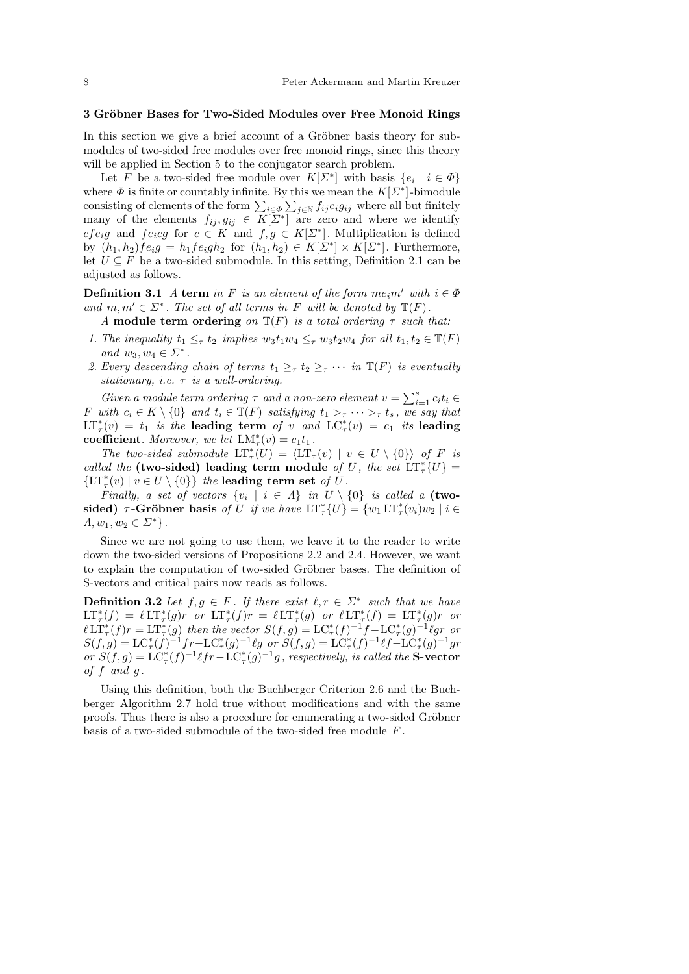## 3 Gröbner Bases for Two-Sided Modules over Free Monoid Rings

In this section we give a brief account of a Gröbner basis theory for submodules of two-sided free modules over free monoid rings, since this theory will be applied in Section 5 to the conjugator search problem.

Let F be a two-sided free module over  $K[\Sigma^*]$  with basis  $\{e_i \mid i \in \Phi\}$ where  $\Phi$  is finite or countably infinite. By this we mean the  $K[\Sigma^*]$ -bimodule consisting of elements of the form  $\sum_{i \in \Phi} \sum_{j \in \mathbb{N}} f_{ij} e_i g_{ij}$  where all but finitely many of the elements  $f_{ij}, g_{ij} \in K[\Sigma^*]$  are zero and where we identify  $cfe_i g$  and  $fe_i cg$  for  $c \in K$  and  $f, g \in K[\Sigma^*]$ . Multiplication is defined by  $(h_1, h_2) f e_i g = h_1 f e_i g h_2$  for  $(h_1, h_2) \in K[\Sigma^*] \times K[\Sigma^*]$ . Furthermore, let  $U \subseteq F$  be a two-sided submodule. In this setting, Definition 2.1 can be adjusted as follows.

**Definition 3.1** A term in F is an element of the form  $me_i m'$  with  $i \in \Phi$ and  $m, m' \in \Sigma^*$ . The set of all terms in F will be denoted by  $\mathbb{T}(F)$ .

A module term ordering on  $\mathbb{T}(F)$  is a total ordering  $\tau$  such that:

- 1. The inequality  $t_1 \leq_\tau t_2$  implies  $w_3t_1w_4 \leq_\tau w_3t_2w_4$  for all  $t_1, t_2 \in \mathbb{T}(F)$ and  $w_3, w_4 \in \Sigma^*$ .
- 2. Every descending chain of terms  $t_1 \geq_\tau t_2 \geq_\tau \cdots$  in  $\mathbb{T}(F)$  is eventually stationary, i.e.  $\tau$  is a well-ordering.

Given a module term ordering  $\tau$  and a non-zero element  $v = \sum_{i=1}^{s} c_i t_i \in$ F with  $c_i \in K \setminus \{0\}$  and  $t_i \in \mathbb{T}(F)$  satisfying  $t_1 >_\tau \cdots >_\tau t_s$ , we say that  $LT^*_{\tau}(v) = t_1$  is the leading term of v and  $LC^*_{\tau}(v) = c_1$  its leading coefficient. Moreover, we let  $LM^*_{\tau}(v) = c_1t_1$ .

The two-sided submodule  $LT^*_{\tau}(U) = \langle LT_{\tau}(v) | v \in U \setminus \{0\} \rangle$  of F is called the (two-sided) leading term module of U, the set  $LT^*_7\{U\}$  =  $\{\mathrm{LT}^*_\tau(v) \mid v \in U \setminus \{0\}\}\$  the leading term set of U.

Finally, a set of vectors  $\{v_i \mid i \in \Lambda\}$  in  $U \setminus \{0\}$  is called a (twosided)  $\tau$ -Gröbner basis of U if we have  $LT^*_{\tau}(U) = \{w_1LT^*_{\tau}(v_i)w_2 \mid i \in$  $\Lambda, w_1, w_2 \in \Sigma^*$ .

Since we are not going to use them, we leave it to the reader to write down the two-sided versions of Propositions 2.2 and 2.4. However, we want to explain the computation of two-sided Gröbner bases. The definition of S-vectors and critical pairs now reads as follows.

**Definition 3.2** Let  $f, g \in F$ . If there exist  $\ell, r \in \Sigma^*$  such that we have  $LT^*_{\tau}(f) = \ell LT^*_{\tau}(g)r$  or  $LT^*_{\tau}(f)r = \ell LT^*_{\tau}(g)$  or  $\ell LT^*_{\tau}(f) = LT^*_{\tau}(g)r$  or  $\ell \text{LT}^*_{\tau}(f) = \text{LT}^*_{\tau}(g)$  then the vector  $S(f,g) = \text{LC}^*_{\tau}(f)^{-1}f - \text{LC}^*_{\tau}(g)^{-1}g$  or or<br> $\ell \text{LT}^*_{\tau}(f)r = \text{LT}^*_{\tau}(g)$  then the vector  $S(f,g) = \text{LC}^*_{\tau}(f)^{-1}f - \text{LC}^*_{\tau}(g)^{-1}g$  or  $S(f,g) = \mathcal{LC}_{\tau}^*(f)^{-1}fr - \mathcal{LC}_{\tau}^*(g)^{-1}\ell g \text{ or } S(f,g) = \mathcal{LC}_{\tau}^*(f)^{-1}\ell f - \mathcal{LC}_{\tau}^*(g)^{-1}gr$ or  $S(f,g) = LC^*_\tau(f)^{-1} \ell fr - LC^*_\tau(g)^{-1}g$ , respectively, is called the **S-vector** of  $f$  and  $g$ .

Using this definition, both the Buchberger Criterion 2.6 and the Buchberger Algorithm 2.7 hold true without modifications and with the same proofs. Thus there is also a procedure for enumerating a two-sided Gröbner basis of a two-sided submodule of the two-sided free module F .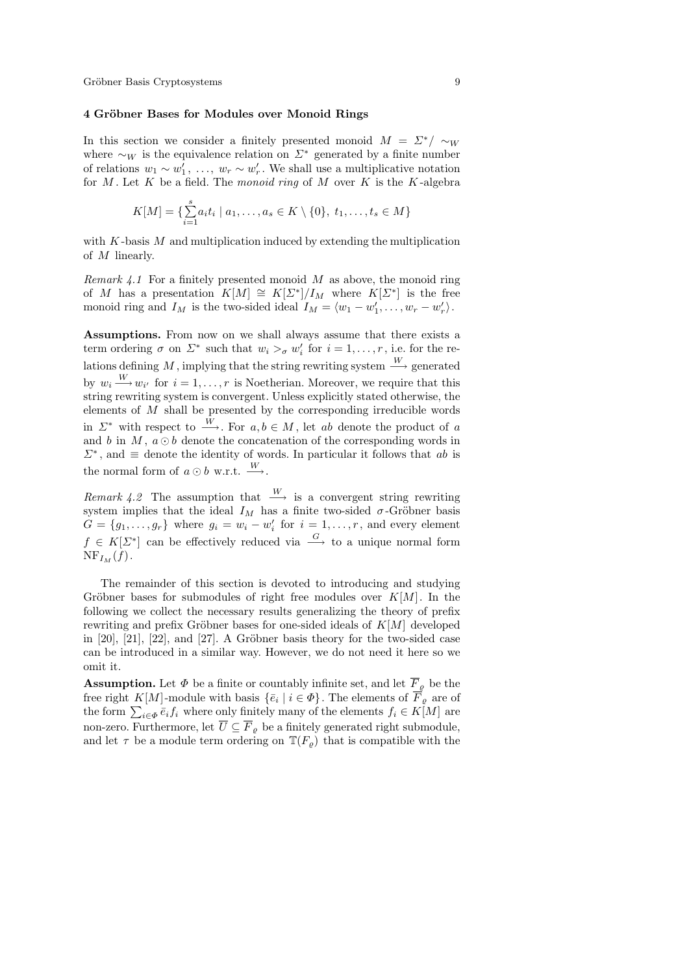## 4 Gröbner Bases for Modules over Monoid Rings

In this section we consider a finitely presented monoid  $M = \Sigma^* / \sim_W$ where  $\sim_W$  is the equivalence relation on  $\Sigma^*$  generated by a finite number of relations  $w_1 \sim w'_1, \ldots, w_r \sim w'_r$ . We shall use a multiplicative notation for  $M$ . Let  $K$  be a field. The monoid ring of  $M$  over  $K$  is the  $K$ -algebra

$$
K[M] = \{ \sum_{i=1}^{s} a_i t_i \mid a_1, \dots, a_s \in K \setminus \{0\}, t_1, \dots, t_s \in M \}
$$

with  $K$ -basis  $M$  and multiplication induced by extending the multiplication of M linearly.

Remark  $4.1$  For a finitely presented monoid M as above, the monoid ring of M has a presentation  $K[M] \cong K[\Sigma^*]/I_M$  where  $K[\Sigma^*]$  is the free monoid ring and  $I_M$  is the two-sided ideal  $I_M = \langle w_1 - w'_1, \ldots, w_r - w'_r \rangle$ .

Assumptions. From now on we shall always assume that there exists a term ordering  $\sigma$  on  $\Sigma^*$  such that  $w_i >_{\sigma} w'_i$  for  $i = 1, \ldots, r$ , i.e. for the relations defining M, implying that the string rewriting system  $\stackrel{W}{\longrightarrow}$  generated by  $w_i \stackrel{W}{\longrightarrow} w_{i'}$  for  $i = 1, \ldots, r$  is Noetherian. Moreover, we require that this string rewriting system is convergent. Unless explicitly stated otherwise, the elements of  $M$  shall be presented by the corresponding irreducible words in  $\Sigma^*$  with respect to  $\overrightarrow{w}$ . For  $a, b \in M$ , let ab denote the product of a and b in M,  $a \odot b$  denote the concatenation of the corresponding words in  $\Sigma^*$ , and  $\equiv$  denote the identity of words. In particular it follows that ab is the normal form of  $a \odot b$  w.r.t.  $\stackrel{W}{\longrightarrow}$ .

Remark 4.2 The assumption that  $\stackrel{W}{\longrightarrow}$  is a convergent string rewriting system implies that the ideal  $I_M$  has a finite two-sided  $\sigma$ -Gröbner basis  $G = \{g_1, \ldots, g_r\}$  where  $g_i = w_i - w'_i$  for  $i = 1, \ldots, r$ , and every element  $f \in K[\Sigma^*]$  can be effectively reduced via  $\stackrel{G}{\longrightarrow}$  to a unique normal form  $NF_{I_M}(f)$ .

The remainder of this section is devoted to introducing and studying Gröbner bases for submodules of right free modules over  $K[M]$ . In the following we collect the necessary results generalizing the theory of prefix rewriting and prefix Gröbner bases for one-sided ideals of  $K[M]$  developed in  $[20]$ ,  $[21]$ ,  $[22]$ , and  $[27]$ . A Gröbner basis theory for the two-sided case can be introduced in a similar way. However, we do not need it here so we omit it.

**Assumption.** Let  $\Phi$  be a finite or countably infinite set, and let  $\overline{F}_{\varrho}$  be the free right K[M]-module with basis  $\{\bar{e}_i \mid i \in \Phi\}$ . The elements of  $F_{\varrho}$  are of the form  $\sum_{i\in\Phi} \bar{e}_i f_i$  where only finitely many of the elements  $f_i \in K[M]$  are non-zero. Furthermore, let  $\overline{U} \subseteq \overline{F}_{\rho}$  be a finitely generated right submodule, and let  $\tau$  be a module term ordering on  $\mathbb{T}(F_{\rho})$  that is compatible with the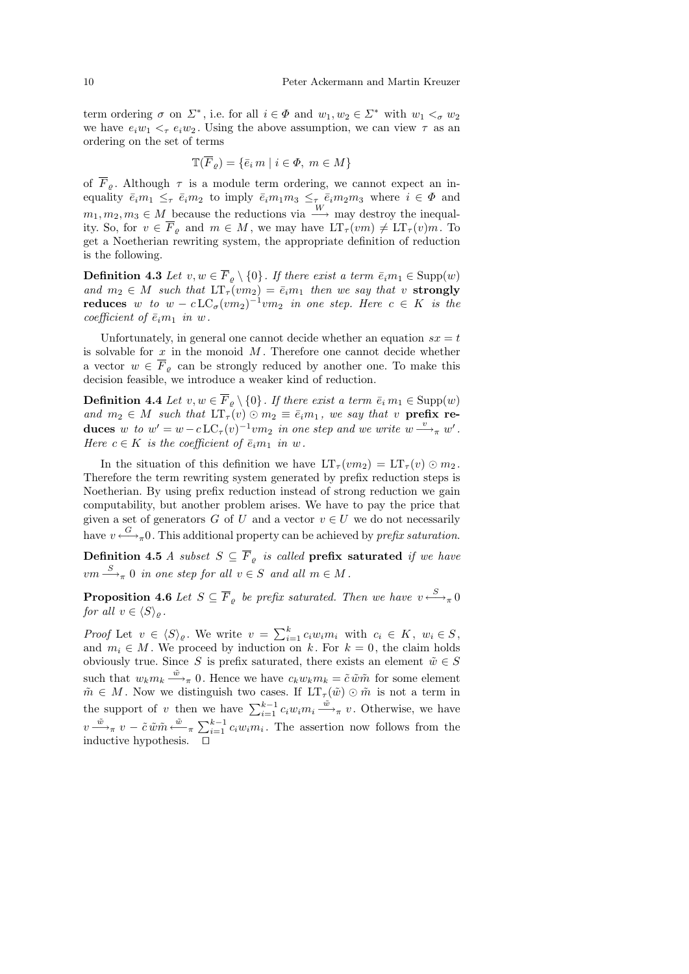term ordering  $\sigma$  on  $\Sigma^*$ , i.e. for all  $i \in \Phi$  and  $w_1, w_2 \in \Sigma^*$  with  $w_1 <_{\sigma} w_2$ we have  $e_i w_1 \leq_\tau e_i w_2$ . Using the above assumption, we can view  $\tau$  as an ordering on the set of terms

$$
\mathbb{T}(\overline{F}_\varrho) = \{ \bar{e}_i \, m \mid i \in \varPhi, \ m \in M \}
$$

of  $\overline{F}_{\rho}$ . Although  $\tau$  is a module term ordering, we cannot expect an inequality  $\bar{e}_i m_1 \leq_\tau \bar{e}_i m_2$  to imply  $\bar{e}_i m_1 m_3 \leq_\tau \bar{e}_i m_2 m_3$  where  $i \in \Phi$  and  $m_1, m_2, m_3 \in M$  because the reductions via  $\frac{W}{\rightarrow}$  may destroy the inequality. So, for  $v \in \overline{F}_o$  and  $m \in M$ , we may have  $LT_{\tau}(vm) \neq LT_{\tau}(v)m$ . To get a Noetherian rewriting system, the appropriate definition of reduction is the following.

**Definition 4.3** Let  $v, w \in F_{\varrho} \setminus \{0\}$ . If there exist a term  $\bar{e}_i m_1 \in \text{Supp}(w)$ and  $m_2 \in M$  such that  $LT_\tau(vm_2) = \bar{e}_i m_1$  then we say that v strongly reduces w to  $w - c \text{LC}_{\sigma}(vm_2)^{-1}vm_2$  in one step. Here  $c \in K$  is the coefficient of  $\bar{e}_i m_1$  in w.

Unfortunately, in general one cannot decide whether an equation  $sx = t$ is solvable for  $x$  in the monoid  $M$ . Therefore one cannot decide whether a vector  $w \in \overline{F}_\rho$  can be strongly reduced by another one. To make this decision feasible, we introduce a weaker kind of reduction.

**Definition 4.4** Let  $v, w \in \overline{F}_{\rho} \setminus \{0\}$ . If there exist a term  $\overline{e}_i m_1 \in \text{Supp}(w)$ and  $m_2 \in M$  such that  $LT_{\tau}(v) \odot m_2 \equiv \bar{e}_i m_1$ , we say that v prefix reduces w to  $w' = w - c \mathop{\rm LC}\nolimits_\tau(v)^{-1} v m_2$  in one step and we write  $w \stackrel{v}{\longrightarrow}_{\pi} w'$ . Here  $c \in K$  is the coefficient of  $\bar{e}_i m_1$  in w.

In the situation of this definition we have  $LT_{\tau}(vm_2) = LT_{\tau}(v) \odot m_2$ . Therefore the term rewriting system generated by prefix reduction steps is Noetherian. By using prefix reduction instead of strong reduction we gain computability, but another problem arises. We have to pay the price that given a set of generators G of U and a vector  $v \in U$  we do not necessarily have  $v \stackrel{G}{\longleftrightarrow}_{\pi} 0$ . This additional property can be achieved by *prefix saturation*.

**Definition 4.5** A subset  $S \subseteq \overline{F}_{\rho}$  is called **prefix saturated** if we have  $vm \stackrel{S}{\longrightarrow}_{\pi} 0$  in one step for all  $v \in S$  and all  $m \in M$ .

**Proposition 4.6** Let  $S \subseteq \overline{F}_{\varrho}$  be prefix saturated. Then we have  $v \stackrel{S}{\longleftrightarrow}_{\pi} 0$ for all  $v \in \langle S \rangle_{\varrho}$ .

*Proof* Let  $v \in \langle S \rangle_{\varrho}$ . We write  $v = \sum_{i=1}^{k} c_i w_i m_i$  with  $c_i \in K$ ,  $w_i \in S$ , and  $m_i \in M$ . We proceed by induction on k. For  $k = 0$ , the claim holds obviously true. Since S is prefix saturated, there exists an element  $\tilde{w} \in S$ such that  $w_k m_k \stackrel{\tilde{w}}{\longrightarrow}_{\pi} 0$ . Hence we have  $c_k w_k m_k = \tilde{c} \tilde{w} \tilde{m}$  for some element  $\tilde{m} \in M$ . Now we distinguish two cases. If  $LT_{\tau}(\tilde{w}) \odot \tilde{m}$  is not a term in the support of v then we have  $\sum_{i=1}^{k-1} c_i w_i m_i \stackrel{\tilde{w}}{\longrightarrow}_{\pi} v$ . Otherwise, we have  $v \stackrel{\tilde{w}}{\longrightarrow}_{\pi} v - \tilde{c} \tilde{w} \tilde{m} \stackrel{\tilde{w}}{\longleftarrow}_{\pi} \sum_{i=1}^{k-1} c_i w_i m_i$ . The assertion now follows from the inductive hypothesis.  $\Box$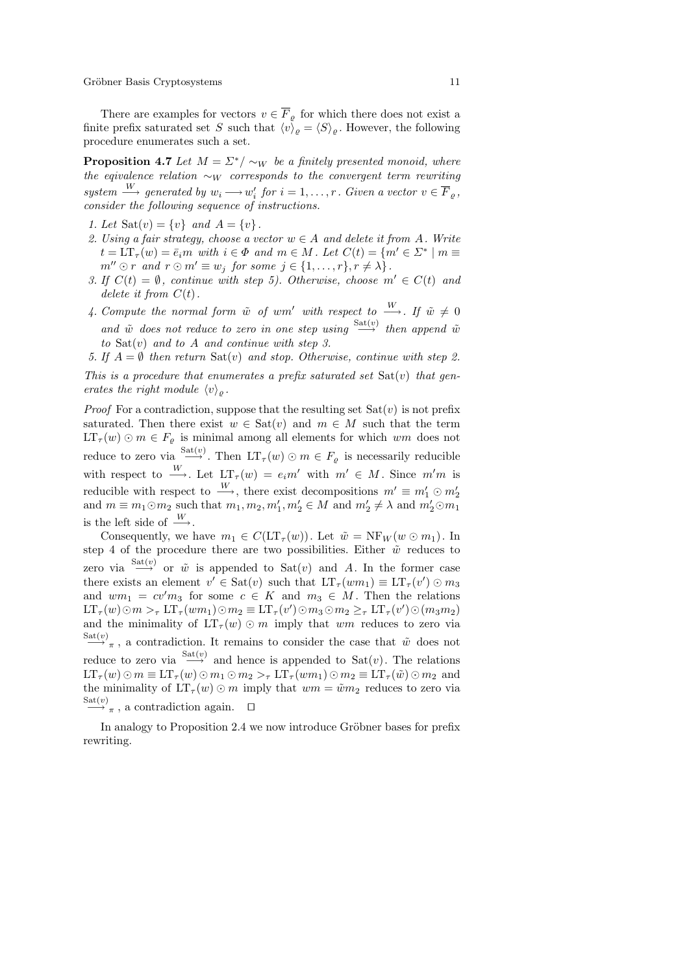There are examples for vectors  $v \in \overline{F}_{\rho}$  for which there does not exist a finite prefix saturated set S such that  $\langle v \rangle_{\rho} = \langle S \rangle_{\rho}$ . However, the following procedure enumerates such a set.

**Proposition 4.7** Let  $M = \Sigma^* / \sim_W$  be a finitely presented monoid, where the eqivalence relation  $\sim_W$  corresponds to the convergent term rewriting system  $\stackrel{W}{\longrightarrow}$  generated by  $w_i \longrightarrow w'_i$  for  $i = 1, \ldots, r$ . Given a vector  $v \in \overline{F}_\varrho$ , consider the following sequence of instructions.

1. Let  $\text{Sat}(v) = \{v\}$  and  $A = \{v\}$ .

- 2. Using a fair strategy, choose a vector  $w \in A$  and delete it from A. Write  $t = LT_{\tau}(w) = \overline{e}_im$  with  $i \in \Phi$  and  $m \in M$ . Let  $C(t) = \{m' \in \Sigma^* \mid m \equiv 1\}$  $m'' \odot r$  and  $r \odot m' \equiv w_j$  for some  $j \in \{1, \ldots, r\}, r \neq \lambda\}.$
- 3. If  $C(t) = \emptyset$ , continue with step 5). Otherwise, choose  $m' \in C(t)$  and delete it from  $C(t)$ .
- 4. Compute the normal form  $\tilde{w}$  of wm' with respect to  $\stackrel{W}{\longrightarrow}$ . If  $\tilde{w} \neq 0$ and  $\tilde{w}$  does not reduce to zero in one step using  $\xrightarrow{\text{Sat}(v)}$  then append  $\tilde{w}$ to  $Sat(v)$  and to A and continue with step 3.

5. If  $A = \emptyset$  then return  $Sat(v)$  and stop. Otherwise, continue with step 2. This is a procedure that enumerates a prefix saturated set  $Sat(v)$  that gen-

erates the right module  $\langle v \rangle_o$ .

*Proof* For a contradiction, suppose that the resulting set  $Sat(v)$  is not prefix saturated. Then there exist  $w \in \text{Sat}(v)$  and  $m \in M$  such that the term  $LT_{\tau}(w) \odot m \in F_{\varrho}$  is minimal among all elements for which  $wm$  does not reduce to zero via  $\xrightarrow{\text{Sat}(v)}$ . Then  $LT_{\tau}(w) \odot m \in F_{\varrho}$  is necessarily reducible with respect to  $\stackrel{W}{\longrightarrow}$ . Let  $LT_{\tau}(w) = e_i m'$  with  $m' \in M$ . Since  $m'm$  is reducible with respect to  $\stackrel{W}{\longrightarrow}$ , there exist decompositions  $m' \equiv m'_1 \odot m'_2$ and  $m \equiv m_1 \odot m_2$  such that  $m_1, m_2, m_1', m_2' \in M$  and  $m_2' \neq \lambda$  and  $m_2' \odot m_1$ is the left side of  $\stackrel{W}{\longrightarrow}$ .

Consequently, we have  $m_1 \in C(\mathop{\rm LT}\nolimits_\tau(w))$ . Let  $\tilde{w} = \mathop{\rm NF}\nolimits_W(w \odot m_1)$ . In step 4 of the procedure there are two possibilities. Either  $\tilde{w}$  reduces to zero via  $\xrightarrow{\text{Sat}(v)}$  or  $\tilde{w}$  is appended to  $\text{Sat}(v)$  and A. In the former case there exists an element  $v' \in Sat(v)$  such that  $LT_{\tau}(wm_1) \equiv LT_{\tau}(v') \odot m_3$ and  $wm_1 = cv'm_3$  for some  $c \in K$  and  $m_3 \in M$ . Then the relations  $LT_{\tau}(w) \odot m >_{\tau} LT_{\tau}(wm_1) \odot m_2 \equiv LT_{\tau}(v') \odot m_3 \odot m_2 \geq_{\tau} LT_{\tau}(v') \odot (m_3m_2)$ and the minimality of  $LT_{\tau}(w) \odot m$  imply that wm reduces to zero via  $\xrightarrow{\text{Sat}(v)} \pi$ , a contradiction. It remains to consider the case that  $\tilde{w}$  does not reduce to zero via  $\xrightarrow{\text{Sat}(v)}$  and hence is appended to  $\text{Sat}(v)$ . The relations  $LT_{\tau}(w) \odot m \equiv LT_{\tau}(w) \odot m_1 \odot m_2 >_{\tau} LT_{\tau}(wm_1) \odot m_2 \equiv LT_{\tau}(\tilde{w}) \odot m_2$  and the minimality of  $LT_{\tau}(w) \odot m$  imply that  $wm = \tilde{w}m_2$  reduces to zero via  $\xrightarrow{\text{Sat}(v)}$ , a contradiction again.  $\square$ 

In analogy to Proposition 2.4 we now introduce Gröbner bases for prefix rewriting.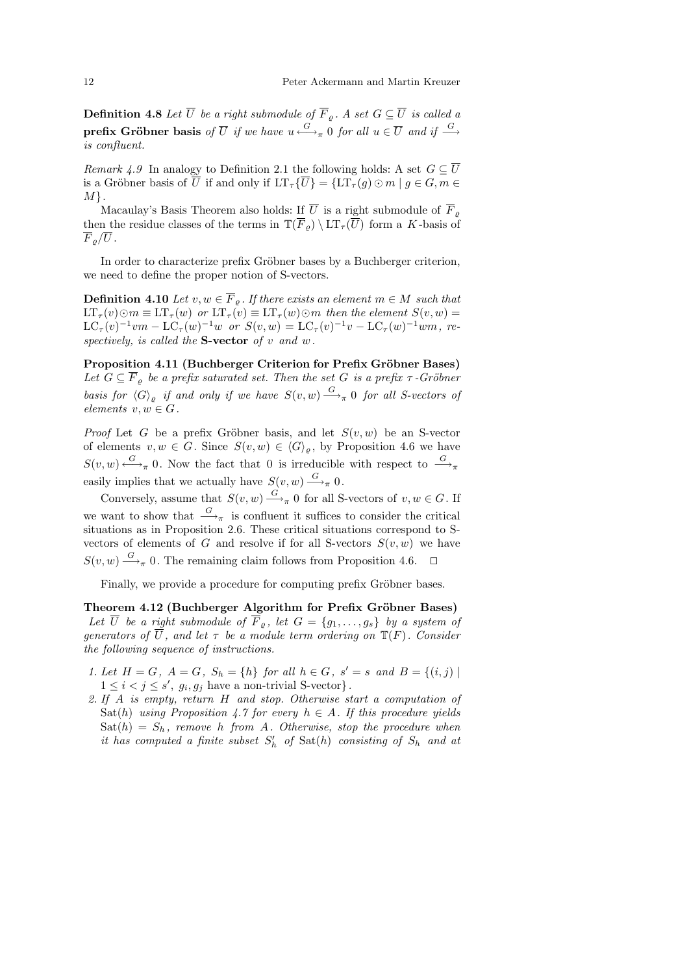**Definition 4.8** Let  $\overline{U}$  be a right submodule of  $\overline{F}_{\varrho}$ . A set  $G \subseteq \overline{U}$  is called a prefix Gröbner basis of  $\overline{U}$  if we have  $u \stackrel{G}{\longleftrightarrow}_{\pi} 0$  for all  $u \in \overline{U}$  and if  $\stackrel{G}{\longrightarrow}$ is confluent.

Remark 4.9 In analogy to Definition 2.1 the following holds: A set  $G \subset \overline{U}$ is a Gröbner basis of  $\overline{U}$  if and only if  $LT_{\tau} {\{\overline{U}\}} = {LT_{\tau}(g) \odot m \mid g \in G, m \in$  $M$ .

Macaulay's Basis Theorem also holds: <u>If</u>  $\overline{U}$  is a right submodule of  $\overline{F}_{\varrho}$ then the residue classes of the terms in  $\mathbb{T}(\overline{F}_{\rho}) \setminus \mathrm{LT}_{\tau}(\overline{U})$  form a K-basis of  $\overline{F}_o/\overline{U}$ .

In order to characterize prefix Gröbner bases by a Buchberger criterion, we need to define the proper notion of S-vectors.

**Definition 4.10** Let  $v, w \in \overline{F}_{\varrho}$ . If there exists an element  $m \in M$  such that  $LT_{\tau}(v) \odot m \equiv LT_{\tau}(w)$  or  $LT_{\tau}(v) \equiv LT_{\tau}(w) \odot m$  then the element  $S(v, w)$  $LC_{\tau}(v)^{-1}vm - LC_{\tau}(w)^{-1}w$  or  $S(v,w) = LC_{\tau}(v)^{-1}v - LC_{\tau}(w)^{-1}wm$ , respectively, is called the **S-vector** of v and w.

Proposition 4.11 (Buchberger Criterion for Prefix Gröbner Bases) Let  $G \subseteq \overline{F}_o$  be a prefix saturated set. Then the set G is a prefix  $\tau$ -Gröbner basis for  $\langle G \rangle_{\varrho}$  if and only if we have  $S(v, w) \stackrel{G}{\longrightarrow}_{\pi} 0$  for all S-vectors of elements  $v, w \in G$ .

*Proof* Let G be a prefix Gröbner basis, and let  $S(v, w)$  be an S-vector of elements  $v, w \in G$ . Since  $S(v, w) \in \langle G \rangle_{\rho}$ , by Proposition 4.6 we have  $S(v, w) \xrightarrow{G} \mathcal{O}$ . Now the fact that 0 is irreducible with respect to  $\frac{G}{\longrightarrow_{\pi}}$ easily implies that we actually have  $S(v, w) \stackrel{G}{\longrightarrow}_{\pi} 0$ .

Conversely, assume that  $S(v, w) \xrightarrow{G}_{\pi} 0$  for all S-vectors of  $v, w \in G$ . If we want to show that  $\stackrel{G}{\longrightarrow}_{\pi}$  is confluent it suffices to consider the critical situations as in Proposition 2.6. These critical situations correspond to Svectors of elements of G and resolve if for all S-vectors  $S(v, w)$  we have  $S(v, w) \stackrel{G}{\longrightarrow}_{\pi} 0$ . The remaining claim follows from Proposition 4.6.  $\Box$ 

Finally, we provide a procedure for computing prefix Gröbner bases.

Theorem 4.12 (Buchberger Algorithm for Prefix Gröbner Bases) Let  $\overline{U}$  be a right submodule of  $\overline{F}_{\rho}$ , let  $G = \{g_1, \ldots, g_s\}$  by a system of generators of  $\overline{U}$ , and let  $\tau$  be a module term ordering on  $\mathbb{T}(F)$ . Consider the following sequence of instructions.

- 1. Let  $H = G$ ,  $A = G$ ,  $S_h = \{h\}$  for all  $h \in G$ ,  $s' = s$  and  $B = \{(i, j) \mid$  $1 \leq i < j \leq s'$ ,  $g_i, g_j$  have a non-trivial S-vector}.
- 2. If A is empty, return H and stop. Otherwise start a computation of Sat(h) using Proposition 4.7 for every  $h \in A$ . If this procedure yields  $Sat(h) = S_h$ , remove h from A. Otherwise, stop the procedure when it has computed a finite subset  $S'_{h}$  of  $\text{Sat}(h)$  consisting of  $S_{h}$  and at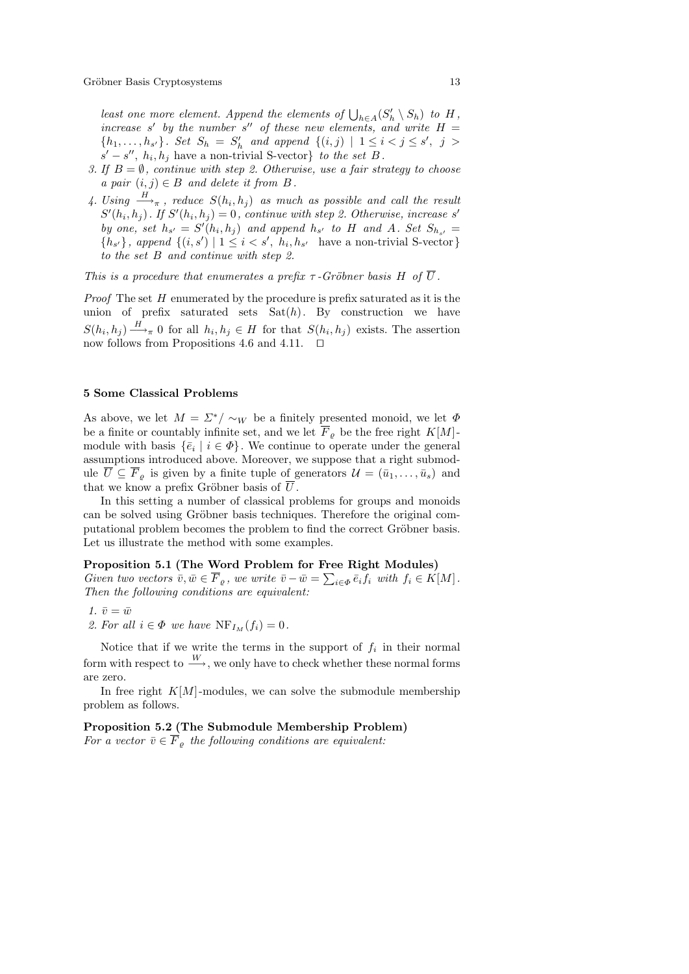least one more element. Append the elements of  $\bigcup_{h\in A} (S'_h \setminus S_h)$  to  $H$ , increase s' by the number s'' of these new elements, and write  $H =$  $\{h_1, \ldots, h_{s'}\}$ . Set  $S_h = S'_h$  and append  $\{(i, j) | 1 \le i < j \le s', j >$  $s'-s''$ ,  $h_i, h_j$  have a non-trivial S-vector} to the set B.

- 3. If  $B = \emptyset$ , continue with step 2. Otherwise, use a fair strategy to choose a pair  $(i, j) \in B$  and delete it from B.
- 4. Using  $\frac{H}{\rightarrow_{\pi}}$ , reduce  $S(h_i, h_j)$  as much as possible and call the result  $S'(h_i, h_j)$ . If  $S'(h_i, h_j) = 0$ , continue with step 2. Otherwise, increase s' by one, set  $h_{s'} = S'(h_i, h_j)$  and append  $h_{s'}$  to H and A. Set  $S_{h_{s'}} =$  ${h_{s'}},$  append  ${(i, s') | 1 \le i < s', h_i, h_{s'}}$  have a non-trivial S-vector} to the set B and continue with step 2.

This is a procedure that enumerates a prefix  $\tau$ -Gröbner basis H of  $\overline{U}$ .

*Proof* The set  $H$  enumerated by the procedure is prefix saturated as it is the union of prefix saturated sets  $Sat(h)$ . By construction we have  $S(h_i, h_j) \stackrel{H}{\longrightarrow}_{\pi} 0$  for all  $h_i, h_j \in H$  for that  $S(h_i, h_j)$  exists. The assertion now follows from Propositions 4.6 and 4.11.  $\Box$ 

#### 5 Some Classical Problems

As above, we let  $M = \Sigma^* / \sim_W$  be a finitely presented monoid, we let  $\Phi$ be a finite or countably infinite set, and we let  $\overline{F}_{o}$  be the free right  $K[M]$ module with basis  $\{\bar{e}_i \mid i \in \Phi\}$ . We continue to operate under the general assumptions introduced above. Moreover, we suppose that a right submodule  $\overline{U} \subseteq \overline{F}_{\varrho}$  is given by a finite tuple of generators  $\mathcal{U} = (\bar{u}_1, \ldots, \bar{u}_s)$  and that we know a prefix Gröbner basis of  $\overline{U}$ .

In this setting a number of classical problems for groups and monoids can be solved using Gröbner basis techniques. Therefore the original computational problem becomes the problem to find the correct Gröbner basis. Let us illustrate the method with some examples.

## Proposition 5.1 (The Word Problem for Free Right Modules)

Given two vectors  $\bar{v}, \bar{w} \in \overline{F}_{\varrho}$ , we write  $\bar{v} - \bar{w} = \sum_{i \in \Phi} \bar{e}_i f_i$  with  $f_i \in K[M]$ . Then the following conditions are equivalent:

- 1.  $\bar{v} = \bar{w}$
- 2. For all  $i \in \Phi$  we have  $\text{NF}_{I_M}(f_i) = 0$ .

Notice that if we write the terms in the support of  $f_i$  in their normal form with respect to  $\frac{W}{\longrightarrow}$ , we only have to check whether these normal forms are zero.

In free right  $K[M]$ -modules, we can solve the submodule membership problem as follows.

# Proposition 5.2 (The Submodule Membership Problem) For a vector  $\overline{v} \in \overline{F}_o$  the following conditions are equivalent: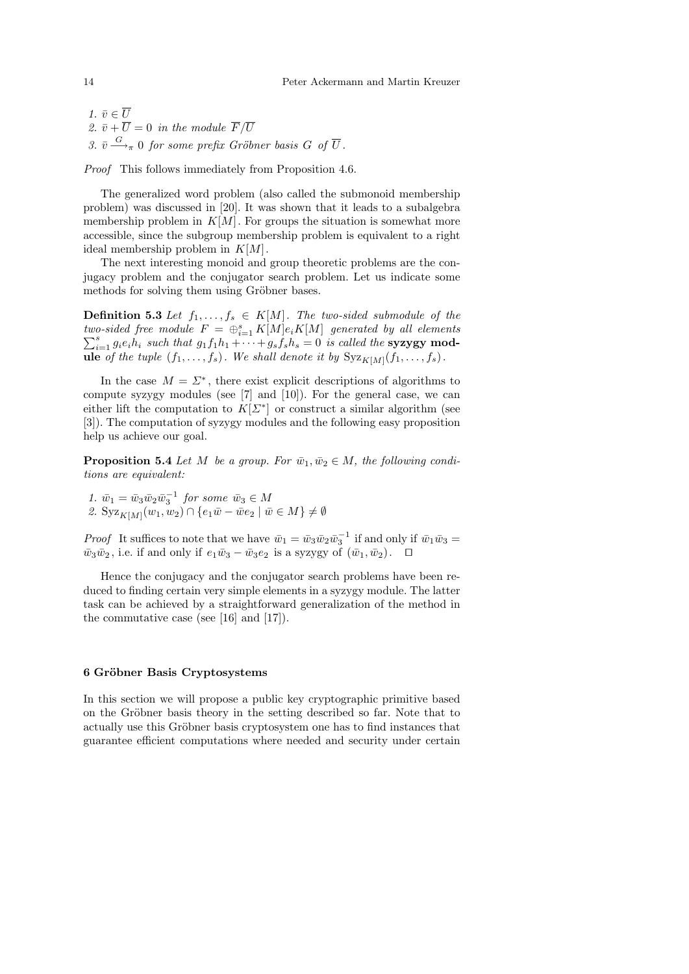1.  $\bar{v} \in \overline{U}$ 2.  $\bar{v} + \overline{U} = 0$  in the module  $\overline{F}/\overline{U}$ 3.  $\bar{v} \stackrel{G}{\longrightarrow}_{\pi} 0$  for some prefix Gröbner basis G of  $\overline{U}$ .

Proof This follows immediately from Proposition 4.6.

The generalized word problem (also called the submonoid membership problem) was discussed in [20]. It was shown that it leads to a subalgebra membership problem in  $K[M]$ . For groups the situation is somewhat more accessible, since the subgroup membership problem is equivalent to a right ideal membership problem in  $K[M]$ .

The next interesting monoid and group theoretic problems are the conjugacy problem and the conjugator search problem. Let us indicate some methods for solving them using Gröbner bases.

**Definition 5.3** Let  $f_1, \ldots, f_s \in K[M]$ . The two-sided submodule of the two-sided free module  $F = \bigoplus_i^s$  $\sum$ *o-sided free module*  $F = \bigoplus_{i=1}^{s} K[M]e_iK[M]$  generated by all elements  $\sum_{i=1}^{s} g_i e_i h_i$  such that  $g_1 f_1 h_1 + \cdots + g_s f_s h_s = 0$  is called the **syzygy module** of the tuple  $(f_1, \ldots, f_s)$ . We shall denote it by  $Syz_{K[M]}(f_1, \ldots, f_s)$ .

In the case  $M = \Sigma^*$ , there exist explicit descriptions of algorithms to compute syzygy modules (see [7] and [10]). For the general case, we can either lift the computation to  $K[\Sigma^*]$  or construct a similar algorithm (see [3]). The computation of syzygy modules and the following easy proposition help us achieve our goal.

**Proposition 5.4** Let M be a group. For  $\bar{w}_1, \bar{w}_2 \in M$ , the following conditions are equivalent:

1.  $\bar{w}_1 = \bar{w}_3 \bar{w}_2 \bar{w}_3^{-1}$  for some  $\bar{w}_3 \in M$ 2.  $\text{Syz}_{K[M]}(w_1, w_2) \cap \{e_1\bar{w} - \bar{w}e_2 \mid \bar{w} \in M\} \neq \emptyset$ 

*Proof* It suffices to note that we have  $\bar{w}_1 = \bar{w}_3 \bar{w}_2 \bar{w}_3^{-1}$  if and only if  $\bar{w}_1 \bar{w}_3 =$  $\bar{w}_3\bar{w}_2$ , i.e. if and only if  $e_1\bar{w}_3 - \bar{w}_3e_2$  is a syzygy of  $(\bar{w}_1, \bar{w}_2)$ .  $\Box$ 

Hence the conjugacy and the conjugator search problems have been reduced to finding certain very simple elements in a syzygy module. The latter task can be achieved by a straightforward generalization of the method in the commutative case (see [16] and [17]).

# 6 Gröbner Basis Cryptosystems

In this section we will propose a public key cryptographic primitive based on the Gröbner basis theory in the setting described so far. Note that to actually use this Gröbner basis cryptosystem one has to find instances that guarantee efficient computations where needed and security under certain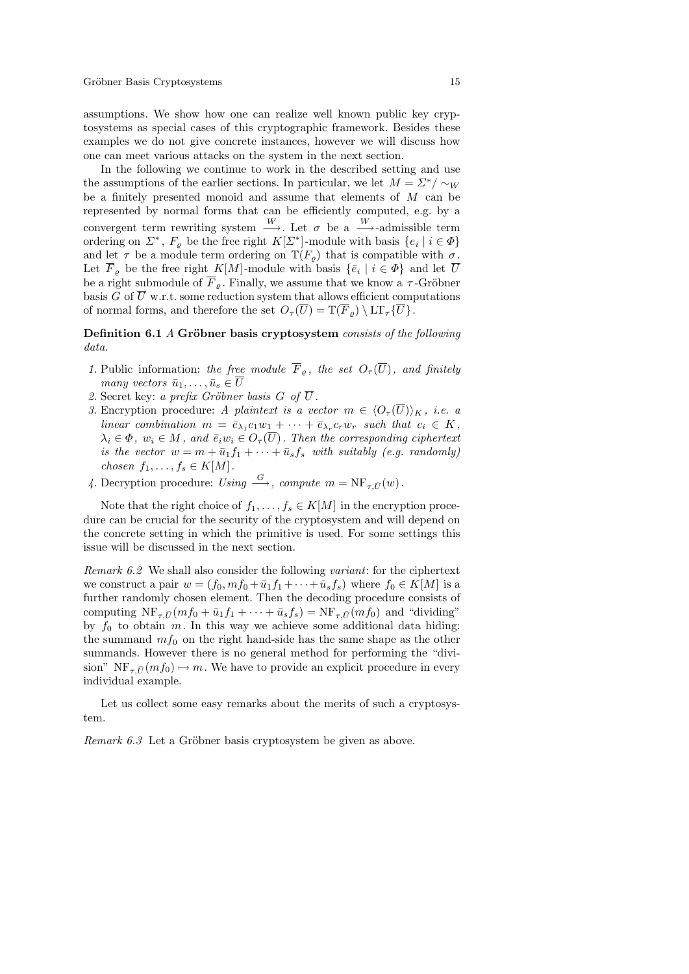assumptions. We show how one can realize well known public key cryptosystems as special cases of this cryptographic framework. Besides these examples we do not give concrete instances, however we will discuss how one can meet various attacks on the system in the next section.

In the following we continue to work in the described setting and use the assumptions of the earlier sections. In particular, we let  $M = \Sigma^* / \sim_W$ be a finitely presented monoid and assume that elements of M can be represented by normal forms that can be efficiently computed, e.g. by a convergent term rewriting system  $\xrightarrow{W}$ . Let  $\sigma$  be a  $\xrightarrow{W}$ -admissible term ordering on  $\Sigma^*$ ,  $F_{\varrho}$  be the free right  $K[\Sigma^*]$ -module with basis  $\{e_i \mid i \in \varPhi\}$ and let  $\tau$  be a module term ordering on  $\mathbb{T}(F_{\rho})$  that is compatible with  $\sigma$ . Let  $\overline{F}_{\varrho}$  be the free right K[M]-module with basis  $\{\overline{e}_i \mid i \in \varPhi\}$  and let  $\overline{U}$ be a right submodule of  $\overline{F}_{\rho}$ . Finally, we assume that we know a  $\tau$ -Gröbner basis G of  $\overline{U}$  w.r.t. some reduction system that allows efficient computations of normal forms, and therefore the set  $O_{\tau}(\overline{U}) = \mathbb{T}(\overline{F}_{o}) \setminus \mathrm{LT}_{\tau} {\{\overline{U}\}}$ .

# Definition 6.1 A Gröbner basis cryptosystem consists of the following data.

- 1. Public information: the free module  $\overline{F}_{\rho}$ , the set  $O_{\tau}(\overline{U})$ , and finitely many vectors  $\bar{u}_1, \ldots, \bar{u}_s \in \overline{U}$
- 2. Secret key: a prefix Gröbner basis G of  $\overline{U}$ .
- 3. Encryption procedure: A plaintext is a vector  $m \in \langle O_{\tau}(\overline{U})\rangle_K$ , i.e. a linear combination  $m = \bar{e}_{\lambda_1} c_1 w_1 + \cdots + \bar{e}_{\lambda_r} c_r w_r$  such that  $c_i \in K$ ,  $\lambda_i \in \Phi$ ,  $w_i \in M$ , and  $\overline{e}_i w_i \in O_{\tau}(\overline{U})$ . Then the corresponding ciphertext is the vector  $w = m + \bar{u}_1 f_1 + \cdots + \bar{u}_s f_s$  with suitably (e.g. randomly) chosen  $f_1, \ldots, f_s \in K[M]$ .
- 4. Decryption procedure: Using  $\stackrel{G}{\longrightarrow}$ , compute  $m = \text{NF}_{\tau} \bar{U}(w)$ .

Note that the right choice of  $f_1, \ldots, f_s \in K[M]$  in the encryption procedure can be crucial for the security of the cryptosystem and will depend on the concrete setting in which the primitive is used. For some settings this issue will be discussed in the next section.

Remark 6.2 We shall also consider the following variant: for the ciphertext we construct a pair  $w = (f_0, mf_0 + \bar{u}_1f_1 + \cdots + \bar{u}_s f_s)$  where  $f_0 \in K[M]$  is a further randomly chosen element. Then the decoding procedure consists of computing  $\text{NF}_{\tau,\bar{U}}(mf_0 + \bar{u}_1f_1 + \cdots + \bar{u}_s f_s) = \text{NF}_{\tau,\bar{U}}(mf_0)$  and "dividing" by  $f_0$  to obtain m. In this way we achieve some additional data hiding: the summand  $mf_0$  on the right hand-side has the same shape as the other summands. However there is no general method for performing the "division"  $NF_{\tau,\bar{U}}(mf_0) \mapsto m$ . We have to provide an explicit procedure in every individual example.

Let us collect some easy remarks about the merits of such a cryptosystem.

Remark  $6.3$  Let a Gröbner basis cryptosystem be given as above.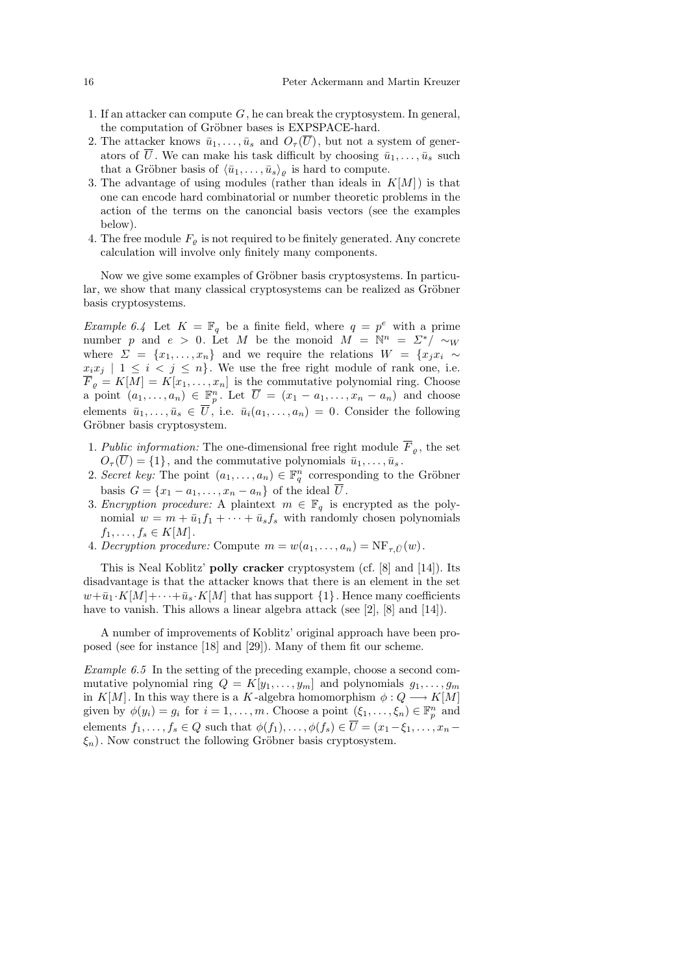- 1. If an attacker can compute  $G$ , he can break the cryptosystem. In general, the computation of Gröbner bases is EXPSPACE-hard.
- 2. The attacker knows  $\bar{u}_1, \ldots, \bar{u}_s$  and  $O_{\tau}(U)$ , but not a system of generators of U. We can make his task difficult by choosing  $\bar{u}_1, \ldots, \bar{u}_s$  such that a Gröbner basis of  $\langle \bar{u}_1, \ldots, \bar{u}_s \rangle_{\varrho}$  is hard to compute.
- 3. The advantage of using modules (rather than ideals in  $K[M]$ ) is that one can encode hard combinatorial or number theoretic problems in the action of the terms on the canoncial basis vectors (see the examples below).
- 4. The free module  $F_{\rho}$  is not required to be finitely generated. Any concrete calculation will involve only finitely many components.

Now we give some examples of Gröbner basis cryptosystems. In particular, we show that many classical cryptosystems can be realized as Gröbner basis cryptosystems.

*Example 6.4* Let  $K = \mathbb{F}_q$  be a finite field, where  $q = p^e$  with a prime number p and  $e > 0$ . Let M be the monoid  $M = \mathbb{N}^n = \Sigma^* / \sim_W$ where  $\Sigma = \{x_1, \ldots, x_n\}$  and we require the relations  $W = \{x_j x_i \sim \}$  $x_i x_j \mid 1 \leq i \leq j \leq n$ . We use the free right module of rank one, i.e.  $F_{\varrho} = K[M] = K[x_1, \ldots, x_n]$  is the commutative polynomial ring. Choose a point  $(a_1, \ldots, a_n) \in \mathbb{F}_p^n$ . Let  $\overline{U} = (x_1 - a_1, \ldots, x_n - a_n)$  and choose elements  $\bar{u}_1, \ldots, \bar{u}_s \in \overline{U}$ , i.e.  $\bar{u}_i(a_1, \ldots, a_n) = 0$ . Consider the following Gröbner basis cryptosystem.

- 1. Public information: The one-dimensional free right module  $\overline{F}_{\rho}$ , the set  $O_{\tau}(\overline{U}) = \{1\}$ , and the commutative polynomials  $\overline{u}_1, \ldots, \overline{u}_s$ .
- 2. Secret key: The point  $(a_1, \ldots, a_n) \in \mathbb{F}_q^n$  corresponding to the Gröbner basis  $G = \{x_1 - a_1, \ldots, x_n - a_n\}$  of the ideal  $\overline{U}$ .
- 3. Encryption procedure: A plaintext  $m \in \mathbb{F}_q$  is encrypted as the polynomial  $w = m + \bar{u}_1 f_1 + \cdots + \bar{u}_s f_s$  with randomly chosen polynomials  $f_1, \ldots, f_s \in K[M].$
- 4. Decryption procedure: Compute  $m = w(a_1, \ldots, a_n) = \text{NF}_{\tau,\bar{U}}(w)$ .

This is Neal Koblitz' polly cracker cryptosystem (cf. [8] and [14]). Its disadvantage is that the attacker knows that there is an element in the set  $w+\bar{u}_1 \cdot K[M]+\cdots+\bar{u}_s \cdot K[M]$  that has support  $\{1\}$ . Hence many coefficients have to vanish. This allows a linear algebra attack (see [2], [8] and [14]).

A number of improvements of Koblitz' original approach have been proposed (see for instance [18] and [29]). Many of them fit our scheme.

Example 6.5 In the setting of the preceding example, choose a second commutative polynomial ring  $Q = K[y_1, \ldots, y_m]$  and polynomials  $g_1, \ldots, g_m$ in K[M]. In this way there is a K-algebra homomorphism  $\phi: Q \longrightarrow K[M]$ given by  $\phi(y_i) = g_i$  for  $i = 1, ..., m$ . Choose a point  $(\xi_1, ..., \xi_n) \in \mathbb{F}_p^n$  and elements  $f_1, \ldots, f_s \in Q$  such that  $\phi(f_1), \ldots, \phi(f_s) \in \overline{U} = (x_1 - \xi_1, \ldots, x_n - \xi_s)$  $\xi_n$ ). Now construct the following Gröbner basis cryptosystem.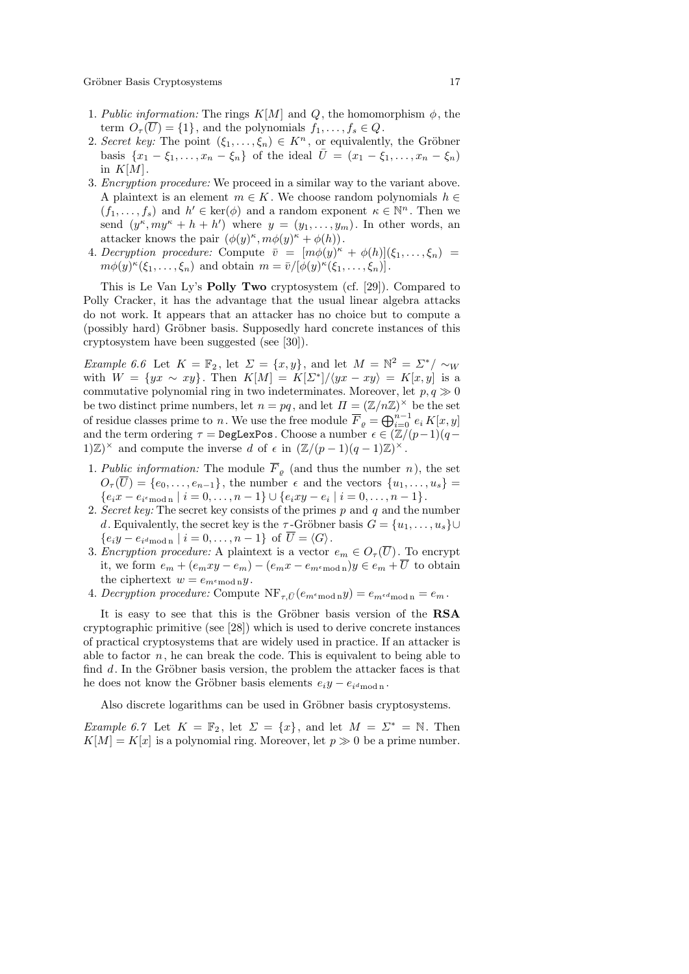Gröbner Basis Cryptosystems 17

- 1. Public information: The rings  $K[M]$  and Q, the homomorphism  $\phi$ , the term  $O_{\tau}(\overline{U}) = \{1\}$ , and the polynomials  $f_1, \ldots, f_s \in Q$ .
- 2. Secret key: The point  $(\xi_1, \ldots, \xi_n) \in K^n$ , or equivalently, the Gröbner basis  $\{x_1 - \xi_1, \ldots, x_n - \xi_n\}$  of the ideal  $\bar{U} = (x_1 - \xi_1, \ldots, x_n - \xi_n)$ in  $K[M]$ .
- 3. Encryption procedure: We proceed in a similar way to the variant above. A plaintext is an element  $m \in K$ . We choose random polynomials  $h \in$  $(f_1, \ldots, f_s)$  and  $h' \in \text{ker}(\phi)$  and a random exponent  $\kappa \in \mathbb{N}^n$ . Then we send  $(y^{\kappa}, my^{\kappa}+h+h')$  where  $y=(y_1,\ldots,y_m)$ . In other words, an attacker knows the pair  $(\phi(y)^{\kappa}, m\phi(y)^{\kappa} + \phi(h)).$
- 4. Decryption procedure: Compute  $\bar{v} = [m\phi(y)^{\kappa} + \phi(h)](\xi_1, \ldots, \xi_n)$  $m\phi(y)^{\kappa}(\xi_1,\ldots,\xi_n)$  and obtain  $m = \bar{v}/[\phi(y)^{\kappa}(\xi_1,\ldots,\xi_n)].$

This is Le Van Ly's Polly Two cryptosystem (cf. [29]). Compared to Polly Cracker, it has the advantage that the usual linear algebra attacks do not work. It appears that an attacker has no choice but to compute a (possibly hard) Gröbner basis. Supposedly hard concrete instances of this cryptosystem have been suggested (see [30]).

Example 6.6 Let  $K = \mathbb{F}_2$ , let  $\Sigma = \{x, y\}$ , and let  $M = \mathbb{N}^2 = \Sigma^* / \sim_W$ with  $W = \{yx \sim xy\}$ . Then  $K[M] = K[\Sigma^*]/\langle yx - xy \rangle = K[x, y]$  is a commutative polynomial ring in two indeterminates. Moreover, let  $p, q \gg 0$ be two distinct prime numbers, let  $n = pq$ , and let  $\Pi = (\mathbb{Z}/n\mathbb{Z})^{\times}$  be the set of residue classes prime to n. We use the free module  $\overline{F}_\varrho = \bigoplus_{i=0}^{n-1} e_i K[x,y]$ and the term ordering  $\tau = \text{DegLexPos}$ . Choose a number  $\epsilon \in (\mathbb{Z}/(p-1)(q-\epsilon))$ 1)Z)<sup>×</sup> and compute the inverse d of  $\epsilon$  in  $(\mathbb{Z}/(p-1)(q-1)\mathbb{Z})^{\times}$ .

- 1. Public information: The module  $\overline{F}_{\rho}$  (and thus the number n), the set  $O_{\tau}(\overline{U}) = \{e_0, \ldots, e_{n-1}\}\$ , the number  $\epsilon$  and the vectors  $\{u_1, \ldots, u_s\}$  $\{e_ix - e_{i^e \mod n} \mid i = 0, \ldots, n-1\} \cup \{e_ixy - e_i \mid i = 0, \ldots, n-1\}.$
- 2. Secret key: The secret key consists of the primes  $p$  and  $q$  and the number d. Equivalently, the secret key is the  $\tau$ -Gröbner basis  $G = \{u_1, \ldots, u_s\} \cup$  $\{e_i y - e_{i d \bmod n} \mid i = 0, \ldots, n-1\}$  of  $U = \langle G \rangle$ .
- 3. Encryption procedure: A plaintext is a vector  $e_m \in O_{\tau}(\overline{U})$ . To encrypt it, we form  $e_m + (e_mxy - e_m) - (e_mx - e_{m \text{emod } n})y \in e_m + \overline{U}$  to obtain the ciphertext  $w = e_{m \epsilon \mod n} y$ .
- 4. Decryption procedure: Compute  $\text{NF}_{\tau,\bar{U}}(e_{m\epsilon_{\text{mod n}}}y) = e_{m\epsilon_{\text{mod n}}} = e_m$ .

It is easy to see that this is the Gröbner basis version of the RSA cryptographic primitive (see [28]) which is used to derive concrete instances of practical cryptosystems that are widely used in practice. If an attacker is able to factor  $n$ , he can break the code. This is equivalent to being able to find  $d$ . In the Gröbner basis version, the problem the attacker faces is that he does not know the Gröbner basis elements  $e_i y - e_{i d \text{ mod } n}$ .

Also discrete logarithms can be used in Gröbner basis cryptosystems.

Example 6.7 Let  $K = \mathbb{F}_2$ , let  $\Sigma = \{x\}$ , and let  $M = \Sigma^* = \mathbb{N}$ . Then  $K[M] = K[x]$  is a polynomial ring. Moreover, let  $p \gg 0$  be a prime number.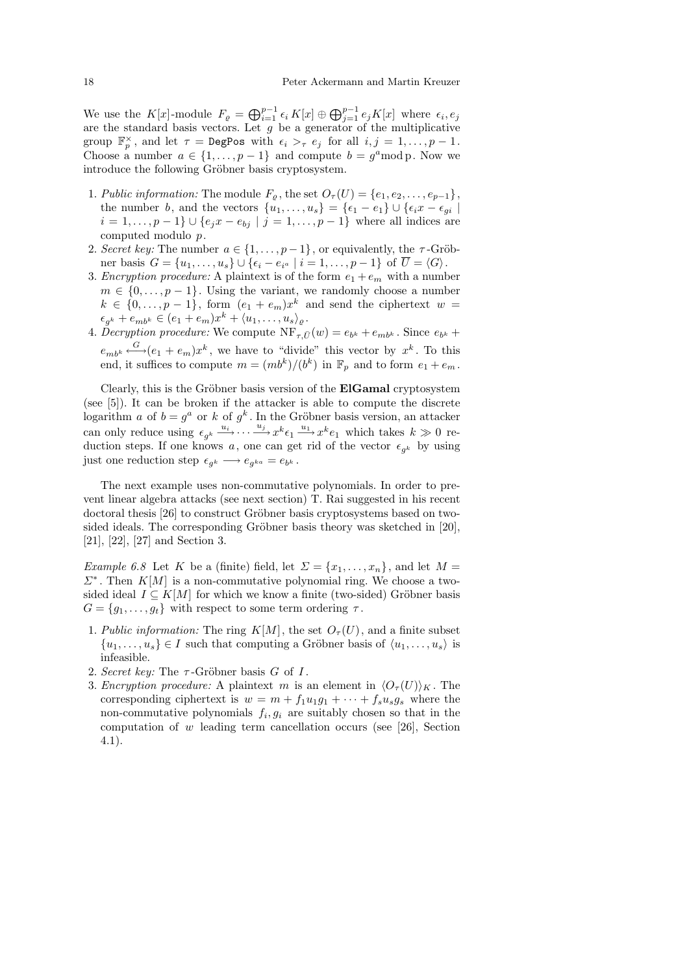We use the  $K[x]$ -module  $F_{\varrho} = \bigoplus_{i=1}^{p-1} \epsilon_i K[x] \oplus \bigoplus_{j=1}^{p-1} e_j K[x]$  where  $\epsilon_i, \epsilon_j$ are the standard basis vectors. Let  $g$  be a generator of the multiplicative group  $\mathbb{F}_p^{\times}$ , and let  $\tau = \text{DegPos}$  with  $\epsilon_i >_{\tau} \epsilon_j$  for all  $i, j = 1, \ldots, p - 1$ . Choose a number  $a \in \{1, \ldots, p-1\}$  and compute  $b = g^a \mod p$ . Now we introduce the following Gröbner basis cryptosystem.

- 1. Public information: The module  $F_{\varrho}$ , the set  $O_{\tau}(U) = \{e_1, e_2, \ldots, e_{p-1}\},$ the number b, and the vectors  $\{u_1, \ldots, u_s\} = \{\epsilon_1 - \epsilon_1\} \cup \{\epsilon_i x - \epsilon_{gi} \mid$  $i = 1, ..., p - 1$   $\cup \{e_j x - e_{bj} | j = 1, ..., p - 1\}$  where all indices are computed modulo p.
- 2. Secret key: The number  $a \in \{1, \ldots, p-1\}$ , or equivalently, the  $\tau$ -Gröbner basis  $G = \{u_1, \ldots, u_s\} \cup \{\epsilon_i - e_{i^a} \mid i = 1, \ldots, p-1\}$  of  $U = \langle G \rangle$ .
- 3. Encryption procedure: A plaintext is of the form  $e_1 + e_m$  with a number  $m \in \{0, \ldots, p-1\}$ . Using the variant, we randomly choose a number  $k \in \{0, \ldots, p-1\},\$ form  $(e_1 + e_m)x^k$  and send the ciphertext  $w =$  $\epsilon_{g^k} + e_{mb^k} \in (e_1 + e_m)x^k + \langle u_1, \ldots, u_s \rangle_{\varrho}.$
- 4. Decryption procedure: We compute  $NF_{\tau,\bar{U}}(w) = e_{b^k} + e_{mb^k}$ . Since  $e_{b^k}$  +  $e_{mb^k} \stackrel{G}{\longleftrightarrow} (e_1 + e_m)x^k$ , we have to "divide" this vector by  $x^k$ . To this end, it suffices to compute  $m = (mb^k)/(b^k)$  in  $\mathbb{F}_p$  and to form  $e_1 + e_m$ .

Clearly, this is the Gröbner basis version of the **ElGamal** cryptosystem (see [5]). It can be broken if the attacker is able to compute the discrete logarithm a of  $b = g^a$  or k of  $g^k$ . In the Gröbner basis version, an attacker can only reduce using  $\epsilon_{g^k} \xrightarrow{u_i} \cdots \xrightarrow{u_j} x^k \epsilon_1 \xrightarrow{u_1} x^k e_1$  which takes  $k \gg 0$  reduction steps. If one knows a, one can get rid of the vector  $\epsilon_{g^k}$  by using just one reduction step  $\epsilon_{g^k} \longrightarrow e_{g^{ka}} = e_{b^k}$ .

The next example uses non-commutative polynomials. In order to prevent linear algebra attacks (see next section) T. Rai suggested in his recent doctoral thesis [26] to construct Gröbner basis cryptosystems based on twosided ideals. The corresponding Gröbner basis theory was sketched in  $[20]$ , [21], [22], [27] and Section 3.

Example 6.8 Let K be a (finite) field, let  $\Sigma = \{x_1, \ldots, x_n\}$ , and let  $M =$  $\Sigma^*$ . Then  $K[M]$  is a non-commutative polynomial ring. We choose a twosided ideal  $I \subseteq K[M]$  for which we know a finite (two-sided) Gröbner basis  $G = \{g_1, \ldots, g_t\}$  with respect to some term ordering  $\tau$ .

- 1. Public information: The ring  $K[M]$ , the set  $O_{\tau}(U)$ , and a finite subset  $\{u_1, \ldots, u_s\} \in I$  such that computing a Gröbner basis of  $\langle u_1, \ldots, u_s \rangle$  is infeasible.
- 2. Secret key: The  $\tau$ -Gröbner basis G of I.
- 3. Encryption procedure: A plaintext m is an element in  $\langle O_{\tau}(U)\rangle_K$ . The corresponding ciphertext is  $w = m + f_1u_1g_1 + \cdots + f_su_sg_s$  where the non-commutative polynomials  $f_i, g_i$  are suitably chosen so that in the computation of  $w$  leading term cancellation occurs (see [26], Section 4.1).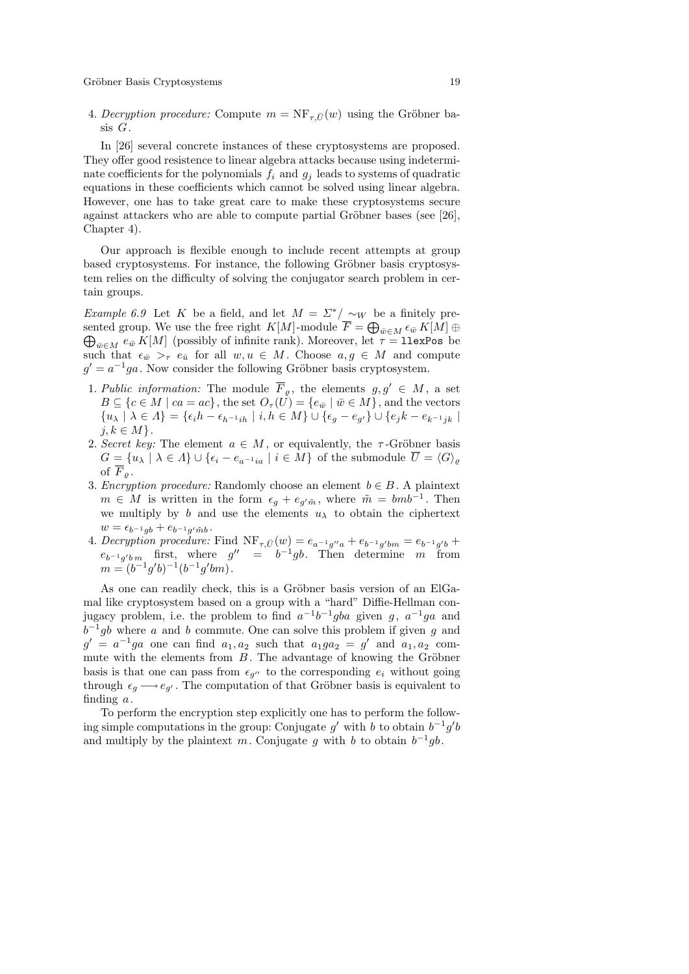4. Decryption procedure: Compute  $m = \text{NF}_{\tau,\bar{U}}(w)$  using the Gröbner basis G.

In [26] several concrete instances of these cryptosystems are proposed. They offer good resistence to linear algebra attacks because using indeterminate coefficients for the polynomials  $f_i$  and  $g_j$  leads to systems of quadratic equations in these coefficients which cannot be solved using linear algebra. However, one has to take great care to make these cryptosystems secure against attackers who are able to compute partial Gröbner bases (see  $[26]$ , Chapter 4).

Our approach is flexible enough to include recent attempts at group based cryptosystems. For instance, the following Gröbner basis cryptosystem relies on the difficulty of solving the conjugator search problem in certain groups.

Example 6.9 Let K be a field, and let  $M = \Sigma^* / \sim_W$  be a finitely presented group. We use the free right  $K[M]$ -module  $\overline{F} = \bigoplus$ sented group. We use the free right  $K[M]$ -module  $\overline{F} = \bigoplus_{\overline{w} \in M} \epsilon_{\overline{w}} K[M] \oplus \bigoplus_{\overline{w} \in M} \epsilon_{\overline{w}} K[M]$  (possibly of infinite rank). Moreover, let  $\tau = \texttt{llexPos}$  be such that  $\epsilon_{\bar{w}} >_{\tau} \epsilon_{\bar{u}}$  for all  $w, u \in M$ . Choose  $a, g \in M$  and compute  $g' = a^{-1}ga$ . Now consider the following Gröbner basis cryptosystem.

- 1. Public information: The module  $\overline{F}_{\varrho}$ , the elements  $g, g' \in M$ , a set  $B \subseteq \{c \in M \mid ca = ac\},\$  the set  $O_{\tau}(U) = \{e_{\bar{w}} \mid \bar{w} \in M\},\$  and the vectors  ${u_{\lambda} | \lambda \in \Lambda} = {\epsilon_i h - \epsilon_{h^{-1}ih} | i, h \in M} \cup {\epsilon_g - \epsilon_{g'}} \cup {\epsilon_j k - \epsilon_{k^{-1}jk} | k}$  $j, k \in M$ .
- 2. Secret key: The element  $a \in M$ , or equivalently, the  $\tau$ -Gröbner basis  $G = \{u_{\lambda} \mid \lambda \in \Lambda\} \cup \{\epsilon_i - \epsilon_{a^{-1}ia} \mid i \in M\}$  of the submodule  $\overline{U} = \langle G \rangle_{\varrho}$ of  $\overline{F}_{\rho}$ .
- 3. Encryption procedure: Randomly choose an element  $b \in B$ . A plaintext  $m \in M$  is written in the form  $\epsilon_g + e_{g'\tilde{m}}$ , where  $\tilde{m} = bmb^{-1}$ . Then we multiply by b and use the elements  $u_{\lambda}$  to obtain the ciphertext  $w = \epsilon_{b^{-1}gb} + e_{b^{-1}g' \tilde{m}b}.$
- 4. Decryption procedure: Find  $\text{NF}_{\tau,\bar{U}}(w) = e_{a^{-1}g''a} + e_{b^{-1}g'bm} = e_{b^{-1}g'b} +$  $e_{b^{-1}g'b m}$  first, where  $g'' = b^{-1}gb$ . Then determine m from  $m = (b^{-1}g'b)^{-1}(b^{-1}g'bm).$

As one can readily check, this is a Gröbner basis version of an ElGamal like cryptosystem based on a group with a "hard" Diffie-Hellman conjugacy problem, i.e. the problem to find  $a^{-1}b^{-1}gba$  given g,  $a^{-1}ga$  and  $b^{-1}gb$  where a and b commute. One can solve this problem if given g and  $g' = a^{-1}ga$  one can find  $a_1, a_2$  such that  $a_1ga_2 = g'$  and  $a_1, a_2$  commute with the elements from  $B$ . The advantage of knowing the Gröbner basis is that one can pass from  $\epsilon_{g''}$  to the corresponding  $e_i$  without going through  $\epsilon_g \longrightarrow e_{g'}$ . The computation of that Gröbner basis is equivalent to finding  $a$ .

To perform the encryption step explicitly one has to perform the following simple computations in the group: Conjugate  $g'$  with b to obtain  $b^{-1}g'b$ and multiply by the plaintext m. Conjugate g with b to obtain  $b^{-1}gb$ .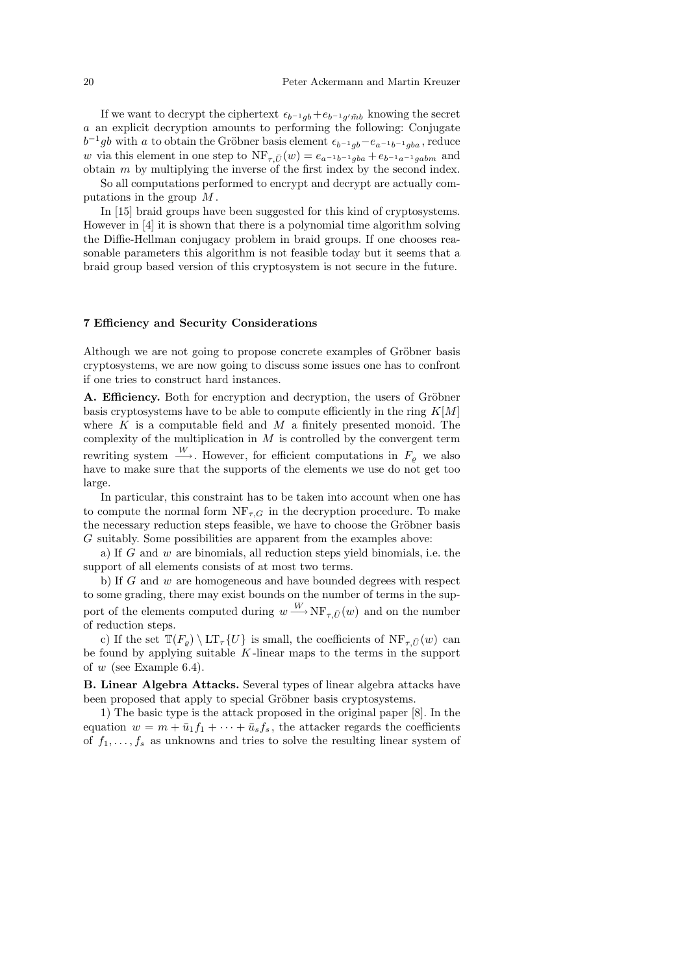If we want to decrypt the ciphertext  $\epsilon_{b-1gb} + \epsilon_{b-1g'mb}$  knowing the secret a an explicit decryption amounts to performing the following: Conjugate  $b^{-1}gb$  with a to obtain the Gröbner basis element  $\epsilon_{b^{-1}gb}-e_{a^{-1}b^{-1}gba}$ , reduce w via this element in one step to  $NF_{\tau,\bar{U}}(w) = e_{a^{-1}b^{-1}gba} + e_{b^{-1}a^{-1}gabm}$  and obtain  $m$  by multiplying the inverse of the first index by the second index.

So all computations performed to encrypt and decrypt are actually computations in the group  $M$ .

In [15] braid groups have been suggested for this kind of cryptosystems. However in [4] it is shown that there is a polynomial time algorithm solving the Diffie-Hellman conjugacy problem in braid groups. If one chooses reasonable parameters this algorithm is not feasible today but it seems that a braid group based version of this cryptosystem is not secure in the future.

## 7 Efficiency and Security Considerations

Although we are not going to propose concrete examples of Gröbner basis cryptosystems, we are now going to discuss some issues one has to confront if one tries to construct hard instances.

A. Efficiency. Both for encryption and decryption, the users of Gröbner basis cryptosystems have to be able to compute efficiently in the ring  $K[M]$ where K is a computable field and M a finitely presented monoid. The complexity of the multiplication in  $M$  is controlled by the convergent term rewriting system  $\frac{W}{\longrightarrow}$ . However, for efficient computations in  $F_{\varrho}$  we also have to make sure that the supports of the elements we use do not get too large.

In particular, this constraint has to be taken into account when one has to compute the normal form  $NF_{\tau,G}$  in the decryption procedure. To make the necessary reduction steps feasible, we have to choose the Gröbner basis G suitably. Some possibilities are apparent from the examples above:

a) If  $G$  and  $w$  are binomials, all reduction steps yield binomials, i.e. the support of all elements consists of at most two terms.

b) If  $G$  and  $w$  are homogeneous and have bounded degrees with respect to some grading, there may exist bounds on the number of terms in the support of the elements computed during  $w \stackrel{W}{\longrightarrow} \text{NF}_{\tau,\bar{U}}(w)$  and on the number of reduction steps.

c) If the set  $\mathbb{T}(F_o) \setminus \mathrm{LT}_{\tau} \{U\}$  is small, the coefficients of  $\mathrm{NF}_{\tau}(\overline{U})$  can be found by applying suitable  $K$ -linear maps to the terms in the support of  $w$  (see Example 6.4).

B. Linear Algebra Attacks. Several types of linear algebra attacks have been proposed that apply to special Gröbner basis cryptosystems.

1) The basic type is the attack proposed in the original paper [8]. In the equation  $w = m + \bar{u}_1 f_1 + \cdots + \bar{u}_s f_s$ , the attacker regards the coefficients of  $f_1, \ldots, f_s$  as unknowns and tries to solve the resulting linear system of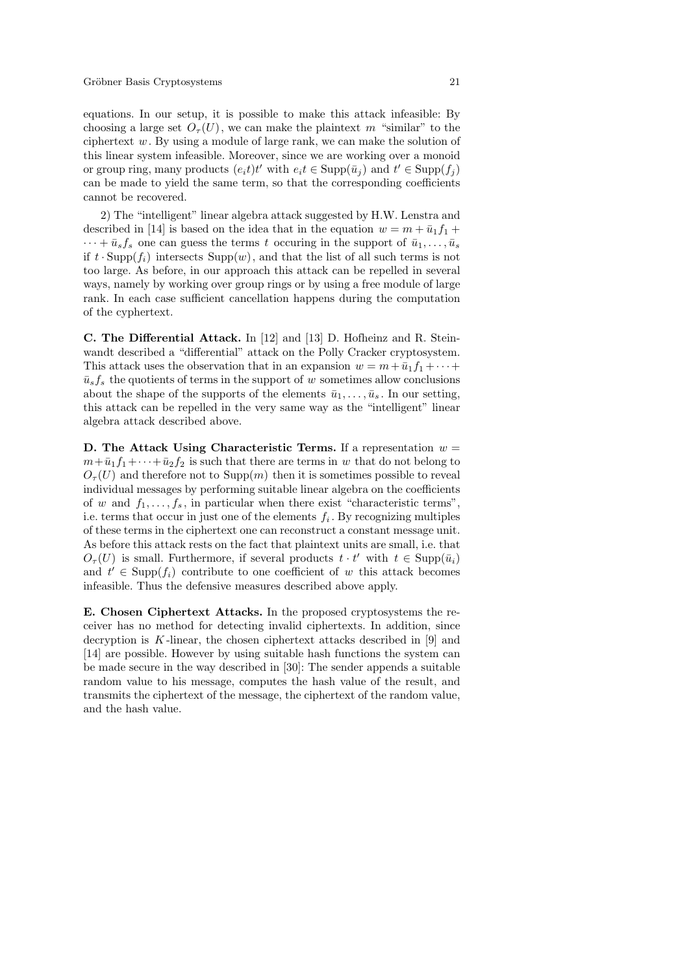equations. In our setup, it is possible to make this attack infeasible: By choosing a large set  $O<sub>\tau</sub>(U)$ , we can make the plaintext m "similar" to the ciphertext  $w$ . By using a module of large rank, we can make the solution of this linear system infeasible. Moreover, since we are working over a monoid or group ring, many products  $(e_i t)t'$  with  $e_i t \in \text{Supp}(\bar{u}_j)$  and  $t' \in \text{Supp}(f_j)$ can be made to yield the same term, so that the corresponding coefficients cannot be recovered.

2) The "intelligent" linear algebra attack suggested by H.W. Lenstra and described in [14] is based on the idea that in the equation  $w = m + \bar{u}_1 f_1 +$  $\cdots + \bar{u}_s f_s$  one can guess the terms t occuring in the support of  $\bar{u}_1, \ldots, \bar{u}_s$ if  $t \cdot \text{Supp}(f_i)$  intersects  $\text{Supp}(w)$ , and that the list of all such terms is not too large. As before, in our approach this attack can be repelled in several ways, namely by working over group rings or by using a free module of large rank. In each case sufficient cancellation happens during the computation of the cyphertext.

C. The Differential Attack. In [12] and [13] D. Hofheinz and R. Steinwandt described a "differential" attack on the Polly Cracker cryptosystem. This attack uses the observation that in an expansion  $w = m + \bar{u}_1 f_1 + \cdots$  $\bar{u}_s f_s$  the quotients of terms in the support of w sometimes allow conclusions about the shape of the supports of the elements  $\bar{u}_1, \ldots, \bar{u}_s$ . In our setting, this attack can be repelled in the very same way as the "intelligent" linear algebra attack described above.

D. The Attack Using Characteristic Terms. If a representation  $w =$  $m+\bar{u}_1f_1+\cdots+\bar{u}_2f_2$  is such that there are terms in w that do not belong to  $O<sub>\tau</sub>(U)$  and therefore not to Supp $(m)$  then it is sometimes possible to reveal individual messages by performing suitable linear algebra on the coefficients of w and  $f_1, \ldots, f_s$ , in particular when there exist "characteristic terms", i.e. terms that occur in just one of the elements  $f_i$ . By recognizing multiples of these terms in the ciphertext one can reconstruct a constant message unit. As before this attack rests on the fact that plaintext units are small, i.e. that  $O_{\tau}(U)$  is small. Furthermore, if several products  $t \cdot t'$  with  $t \in \text{Supp}(\bar{u}_i)$ and  $t' \in \text{Supp}(f_i)$  contribute to one coefficient of w this attack becomes infeasible. Thus the defensive measures described above apply.

E. Chosen Ciphertext Attacks. In the proposed cryptosystems the receiver has no method for detecting invalid ciphertexts. In addition, since decryption is  $K$ -linear, the chosen ciphertext attacks described in [9] and [14] are possible. However by using suitable hash functions the system can be made secure in the way described in [30]: The sender appends a suitable random value to his message, computes the hash value of the result, and transmits the ciphertext of the message, the ciphertext of the random value, and the hash value.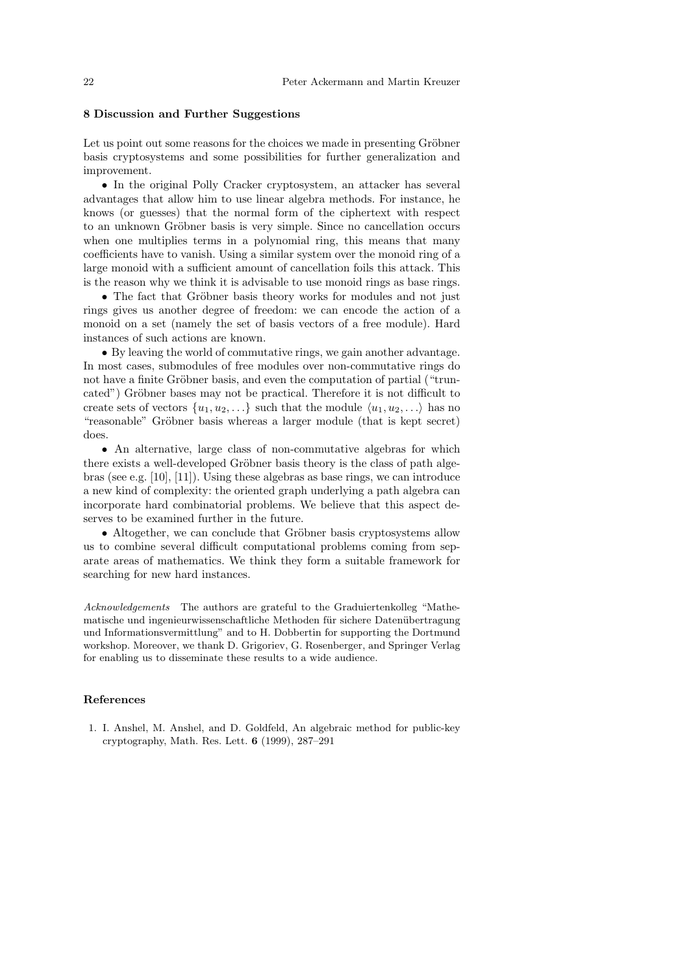## 8 Discussion and Further Suggestions

Let us point out some reasons for the choices we made in presenting Gröbner basis cryptosystems and some possibilities for further generalization and improvement.

• In the original Polly Cracker cryptosystem, an attacker has several advantages that allow him to use linear algebra methods. For instance, he knows (or guesses) that the normal form of the ciphertext with respect to an unknown Gröbner basis is very simple. Since no cancellation occurs when one multiplies terms in a polynomial ring, this means that many coefficients have to vanish. Using a similar system over the monoid ring of a large monoid with a sufficient amount of cancellation foils this attack. This is the reason why we think it is advisable to use monoid rings as base rings.

• The fact that Gröbner basis theory works for modules and not just rings gives us another degree of freedom: we can encode the action of a monoid on a set (namely the set of basis vectors of a free module). Hard instances of such actions are known.

• By leaving the world of commutative rings, we gain another advantage. In most cases, submodules of free modules over non-commutative rings do not have a finite Gröbner basis, and even the computation of partial ("truncated") Gröbner bases may not be practical. Therefore it is not difficult to create sets of vectors  $\{u_1, u_2, \ldots\}$  such that the module  $\langle u_1, u_2, \ldots \rangle$  has no "reasonable" Gröbner basis whereas a larger module (that is kept secret) does.

• An alternative, large class of non-commutative algebras for which there exists a well-developed Gröbner basis theory is the class of path algebras (see e.g.  $[10]$ ,  $[11]$ ). Using these algebras as base rings, we can introduce a new kind of complexity: the oriented graph underlying a path algebra can incorporate hard combinatorial problems. We believe that this aspect deserves to be examined further in the future.

• Altogether, we can conclude that Gröbner basis cryptosystems allow us to combine several difficult computational problems coming from separate areas of mathematics. We think they form a suitable framework for searching for new hard instances.

Acknowledgements The authors are grateful to the Graduiertenkolleg "Mathematische und ingenieurwissenschaftliche Methoden für sichere Datenübertragung und Informationsvermittlung" and to H. Dobbertin for supporting the Dortmund workshop. Moreover, we thank D. Grigoriev, G. Rosenberger, and Springer Verlag for enabling us to disseminate these results to a wide audience.

#### References

1. I. Anshel, M. Anshel, and D. Goldfeld, An algebraic method for public-key cryptography, Math. Res. Lett. 6 (1999), 287–291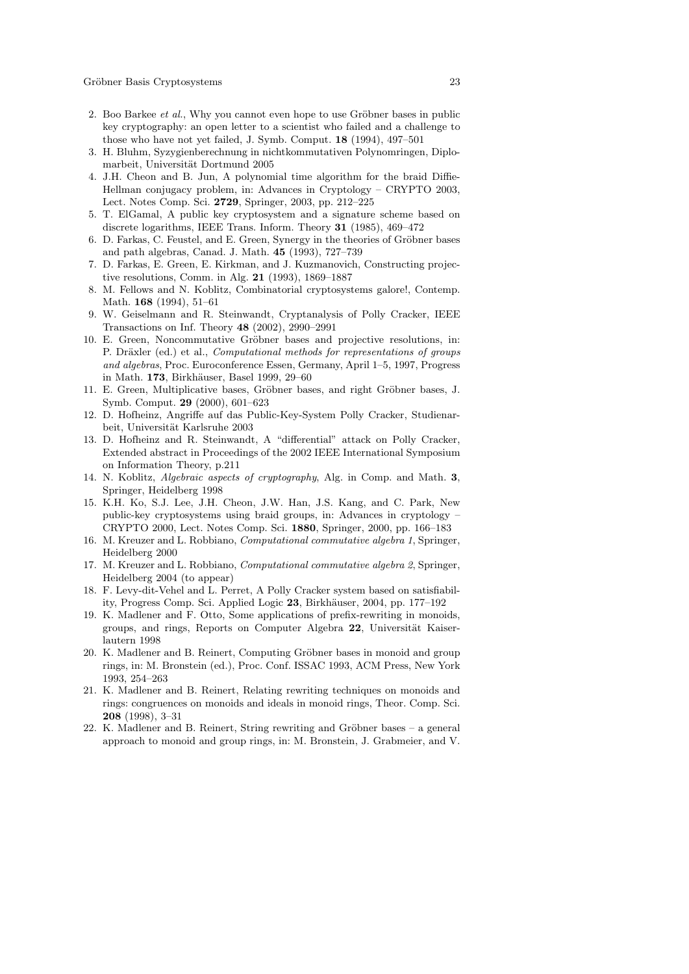- 2. Boo Barkee *et al.*, Why you cannot even hope to use Gröbner bases in public key cryptography: an open letter to a scientist who failed and a challenge to those who have not yet failed, J. Symb. Comput. 18 (1994), 497–501
- 3. H. Bluhm, Syzygienberechnung in nichtkommutativen Polynomringen, Diplomarbeit, Universität Dortmund 2005
- 4. J.H. Cheon and B. Jun, A polynomial time algorithm for the braid Diffie-Hellman conjugacy problem, in: Advances in Cryptology – CRYPTO 2003, Lect. Notes Comp. Sci. 2729, Springer, 2003, pp. 212–225
- 5. T. ElGamal, A public key cryptosystem and a signature scheme based on discrete logarithms, IEEE Trans. Inform. Theory 31 (1985), 469–472
- 6. D. Farkas, C. Feustel, and E. Green, Synergy in the theories of Gröbner bases and path algebras, Canad. J. Math. 45 (1993), 727–739
- 7. D. Farkas, E. Green, E. Kirkman, and J. Kuzmanovich, Constructing projective resolutions, Comm. in Alg. 21 (1993), 1869–1887
- 8. M. Fellows and N. Koblitz, Combinatorial cryptosystems galore!, Contemp. Math. 168 (1994), 51–61
- 9. W. Geiselmann and R. Steinwandt, Cryptanalysis of Polly Cracker, IEEE Transactions on Inf. Theory 48 (2002), 2990–2991
- 10. E. Green, Noncommutative Gröbner bases and projective resolutions, in: P. Dräxler (ed.) et al., *Computational methods for representations of groups* and algebras, Proc. Euroconference Essen, Germany, April 1–5, 1997, Progress in Math. 173, Birkhäuser, Basel 1999, 29–60
- 11. E. Green, Multiplicative bases, Gröbner bases, and right Gröbner bases, J. Symb. Comput. 29 (2000), 601–623
- 12. D. Hofheinz, Angriffe auf das Public-Key-System Polly Cracker, Studienarbeit, Universität Karlsruhe 2003
- 13. D. Hofheinz and R. Steinwandt, A "differential" attack on Polly Cracker, Extended abstract in Proceedings of the 2002 IEEE International Symposium on Information Theory, p.211
- 14. N. Koblitz, Algebraic aspects of cryptography, Alg. in Comp. and Math. 3, Springer, Heidelberg 1998
- 15. K.H. Ko, S.J. Lee, J.H. Cheon, J.W. Han, J.S. Kang, and C. Park, New public-key cryptosystems using braid groups, in: Advances in cryptology – CRYPTO 2000, Lect. Notes Comp. Sci. 1880, Springer, 2000, pp. 166–183
- 16. M. Kreuzer and L. Robbiano, Computational commutative algebra 1, Springer, Heidelberg 2000
- 17. M. Kreuzer and L. Robbiano, Computational commutative algebra 2, Springer, Heidelberg 2004 (to appear)
- 18. F. Levy-dit-Vehel and L. Perret, A Polly Cracker system based on satisfiability, Progress Comp. Sci. Applied Logic  $23$ , Birkhäuser, 2004, pp. 177–192
- 19. K. Madlener and F. Otto, Some applications of prefix-rewriting in monoids, groups, and rings, Reports on Computer Algebra 22, Universität Kaiserlautern 1998
- 20. K. Madlener and B. Reinert, Computing Gröbner bases in monoid and group rings, in: M. Bronstein (ed.), Proc. Conf. ISSAC 1993, ACM Press, New York 1993, 254–263
- 21. K. Madlener and B. Reinert, Relating rewriting techniques on monoids and rings: congruences on monoids and ideals in monoid rings, Theor. Comp. Sci. 208 (1998), 3–31
- 22. K. Madlener and B. Reinert, String rewriting and Gröbner bases a general approach to monoid and group rings, in: M. Bronstein, J. Grabmeier, and V.